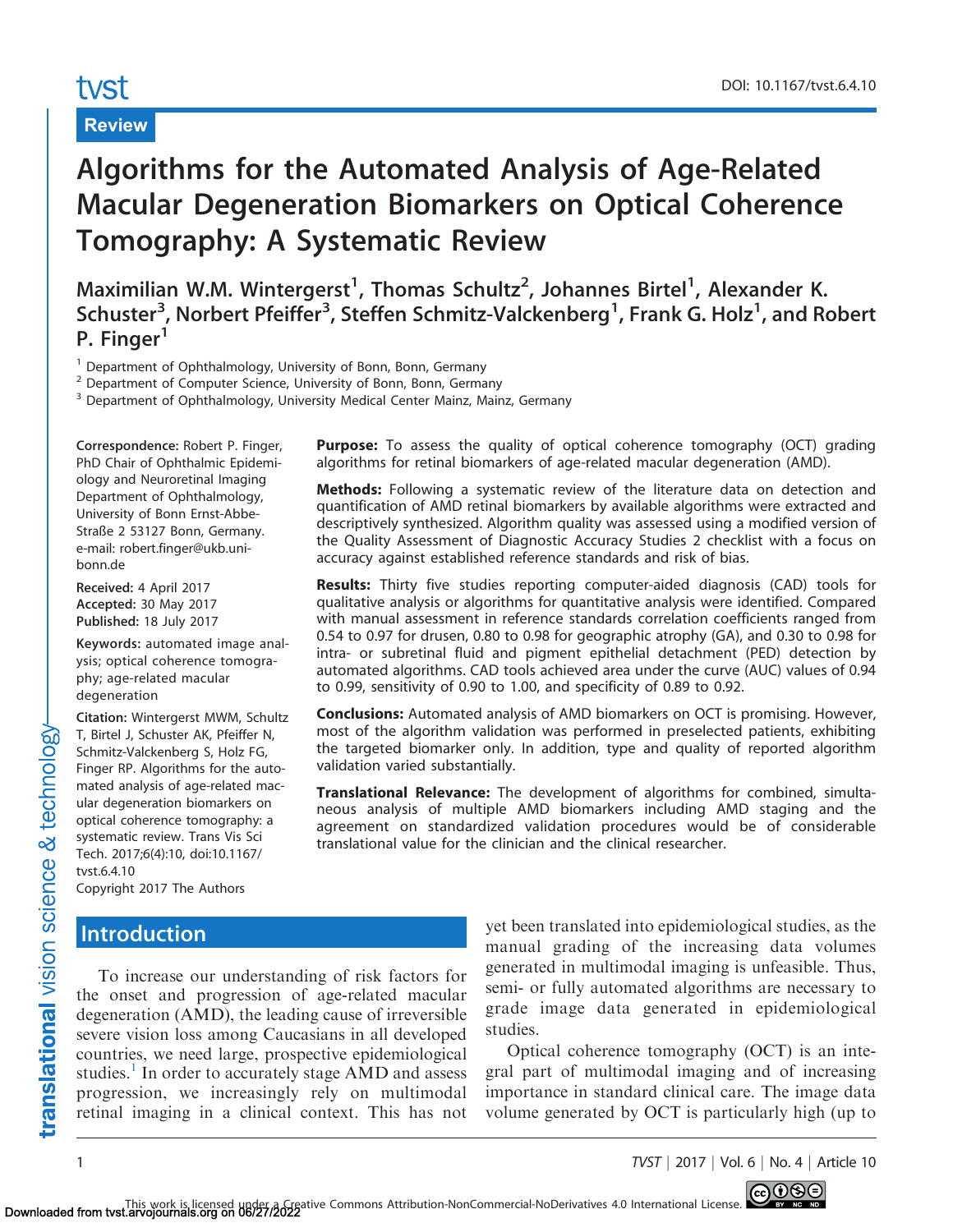# tyst

# Review

# Algorithms for the Automated Analysis of Age-Related Macular Degeneration Biomarkers on Optical Coherence Tomography: A Systematic Review

Maximilian W.M. Wintergerst<sup>1</sup>, Thomas Schultz<sup>2</sup>, Johannes Birtel<sup>1</sup>, Alexander K. Schuster<sup>3</sup>, Norbert Pfeiffer<sup>3</sup>, Steffen Schmitz-Valckenberg<sup>1</sup>, Frank G. Holz<sup>1</sup>, and Robert P. Finger<sup>1</sup>

<sup>1</sup> Department of Ophthalmology, University of Bonn, Bonn, Germany

<sup>2</sup> Department of Computer Science, University of Bonn, Bonn, Germany

<sup>3</sup> Department of Ophthalmology, University Medical Center Mainz, Mainz, Germany

Correspondence: Robert P. Finger, PhD Chair of Ophthalmic Epidemiology and Neuroretinal Imaging Department of Ophthalmology, University of Bonn Ernst-Abbe-Straße 2 53127 Bonn, Germany. e-mail: robert.finger@ukb.unibonn.de

Received: 4 April 2017 Accepted: 30 May 2017 Published: 18 July 2017

Keywords: automated image analysis; optical coherence tomography; age-related macular degeneration

Citation: Wintergerst MWM, Schultz T, Birtel J, Schuster AK, Pfeiffer N, Schmitz-Valckenberg S, Holz FG, Finger RP. Algorithms for the automated analysis of age-related macular degeneration biomarkers on optical coherence tomography: a systematic review. Trans Vis Sci Tech. 2017;6(4):10, doi:10.1167/ tvst.6.4.10

Copyright 2017 The Authors

# **Introduction**

Purpose: To assess the quality of optical coherence tomography (OCT) grading algorithms for retinal biomarkers of age-related macular degeneration (AMD).

Methods: Following a systematic review of the literature data on detection and quantification of AMD retinal biomarkers by available algorithms were extracted and descriptively synthesized. Algorithm quality was assessed using a modified version of the Quality Assessment of Diagnostic Accuracy Studies 2 checklist with a focus on accuracy against established reference standards and risk of bias.

Results: Thirty five studies reporting computer-aided diagnosis (CAD) tools for qualitative analysis or algorithms for quantitative analysis were identified. Compared with manual assessment in reference standards correlation coefficients ranged from 0.54 to 0.97 for drusen, 0.80 to 0.98 for geographic atrophy (GA), and 0.30 to 0.98 for intra- or subretinal fluid and pigment epithelial detachment (PED) detection by automated algorithms. CAD tools achieved area under the curve (AUC) values of 0.94 to 0.99, sensitivity of 0.90 to 1.00, and specificity of 0.89 to 0.92.

Conclusions: Automated analysis of AMD biomarkers on OCT is promising. However, most of the algorithm validation was performed in preselected patients, exhibiting the targeted biomarker only. In addition, type and quality of reported algorithm validation varied substantially.

Translational Relevance: The development of algorithms for combined, simultaneous analysis of multiple AMD biomarkers including AMD staging and the agreement on standardized validation procedures would be of considerable translational value for the clinician and the clinical researcher.

To increase our understanding of risk factors for the onset and progression of age-related macular degeneration (AMD), the leading cause of irreversible severe vision loss among Caucasians in all developed countries, we need large, prospective epidemiological studies.<sup>[1](#page-15-0)</sup> In order to accurately stage AMD and assess progression, we increasingly rely on multimodal retinal imaging in a clinical context. This has not

yet been translated into epidemiological studies, as the manual grading of the increasing data volumes generated in multimodal imaging is unfeasible. Thus, semi- or fully automated algorithms are necessary to grade image data generated in epidemiological studies.

Optical coherence tomography (OCT) is an integral part of multimodal imaging and of increasing importance in standard clinical care. The image data volume generated by OCT is particularly high (up to

translational vision science & technology

1 TVST j 2017 j Vol. 6 j No. 4 j Article 10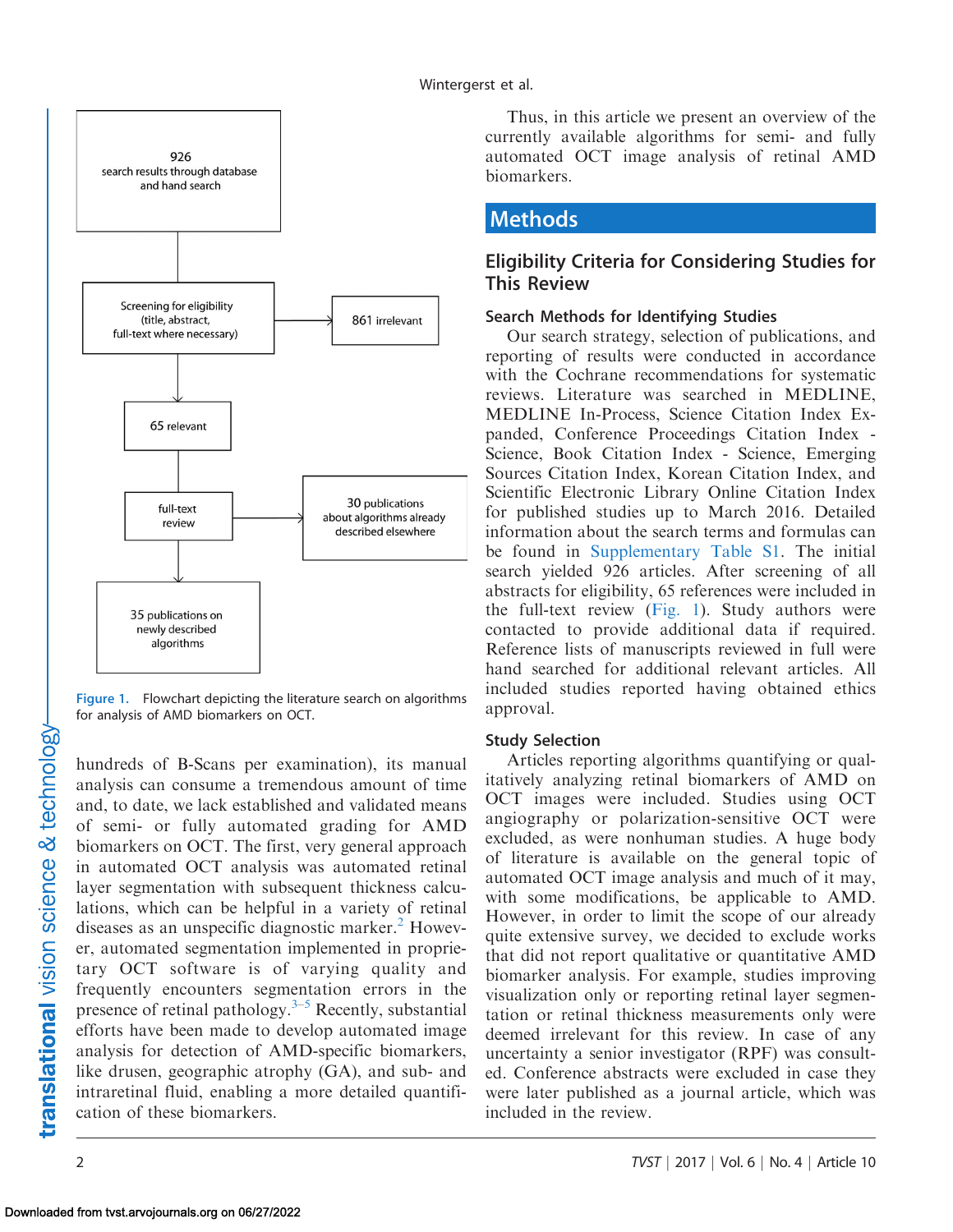<span id="page-1-0"></span>

Figure 1. Flowchart depicting the literature search on algorithms for analysis of AMD biomarkers on OCT.

hundreds of B-Scans per examination), its manual analysis can consume a tremendous amount of time and, to date, we lack established and validated means of semi- or fully automated grading for AMD biomarkers on OCT. The first, very general approach in automated OCT analysis was automated retinal layer segmentation with subsequent thickness calculations, which can be helpful in a variety of retinal diseases as an unspecific diagnostic marker. $<sup>2</sup>$  Howev-</sup> er, automated segmentation implemented in proprietary OCT software is of varying quality and frequently encounters segmentation errors in the presence of retinal pathology. $3-5$  Recently, substantial efforts have been made to develop automated image analysis for detection of AMD-specific biomarkers, like drusen, geographic atrophy (GA), and sub- and intraretinal fluid, enabling a more detailed quantification of these biomarkers.

Thus, in this article we present an overview of the currently available algorithms for semi- and fully automated OCT image analysis of retinal AMD biomarkers.

# Methods

## Eligibility Criteria for Considering Studies for This Review

### Search Methods for Identifying Studies

Our search strategy, selection of publications, and reporting of results were conducted in accordance with the Cochrane recommendations for systematic reviews. Literature was searched in MEDLINE, MEDLINE In-Process, Science Citation Index Expanded, Conference Proceedings Citation Index - Science, Book Citation Index - Science, Emerging Sources Citation Index, Korean Citation Index, and Scientific Electronic Library Online Citation Index for published studies up to March 2016. Detailed information about the search terms and formulas can be found in [Supplementary Table S1.](http://tvst.arvojournals.org/data/Journals/TVST/936356/tvst-06-04-02_s01.pdf) The initial search yielded 926 articles. After screening of all abstracts for eligibility, 65 references were included in the full-text review (Fig. 1). Study authors were contacted to provide additional data if required. Reference lists of manuscripts reviewed in full were hand searched for additional relevant articles. All included studies reported having obtained ethics approval.

### Study Selection

Articles reporting algorithms quantifying or qualitatively analyzing retinal biomarkers of AMD on OCT images were included. Studies using OCT angiography or polarization-sensitive OCT were excluded, as were nonhuman studies. A huge body of literature is available on the general topic of automated OCT image analysis and much of it may, with some modifications, be applicable to AMD. However, in order to limit the scope of our already quite extensive survey, we decided to exclude works that did not report qualitative or quantitative AMD biomarker analysis. For example, studies improving visualization only or reporting retinal layer segmentation or retinal thickness measurements only were deemed irrelevant for this review. In case of any uncertainty a senior investigator (RPF) was consulted. Conference abstracts were excluded in case they were later published as a journal article, which was included in the review.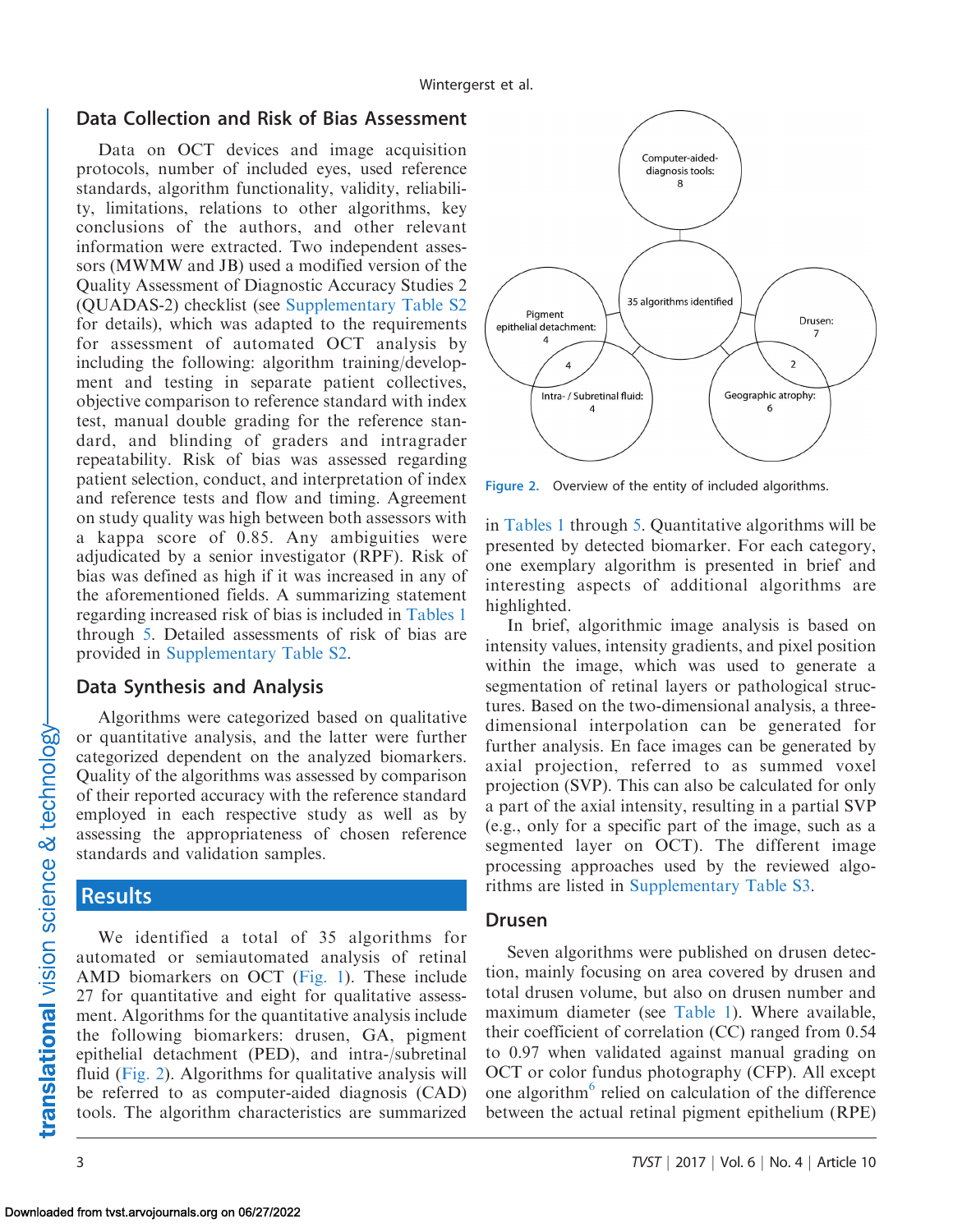### Data Collection and Risk of Bias Assessment

Data on OCT devices and image acquisition protocols, number of included eyes, used reference standards, algorithm functionality, validity, reliability, limitations, relations to other algorithms, key conclusions of the authors, and other relevant information were extracted. Two independent assessors (MWMW and JB) used a modified version of the Quality Assessment of Diagnostic Accuracy Studies 2 (QUADAS-2) checklist (see [Supplementary Table S2](http://tvst.arvojournals.org/data/Journals/TVST/936356/tvst-06-04-02_s01.pdf) for details), which was adapted to the requirements for assessment of automated OCT analysis by including the following: algorithm training/development and testing in separate patient collectives, objective comparison to reference standard with index test, manual double grading for the reference standard, and blinding of graders and intragrader repeatability. Risk of bias was assessed regarding patient selection, conduct, and interpretation of index and reference tests and flow and timing. Agreement on study quality was high between both assessors with a kappa score of 0.85. Any ambiguities were adjudicated by a senior investigator (RPF). Risk of bias was defined as high if it was increased in any of the aforementioned fields. A summarizing statement regarding increased risk of bias is included in [Tables 1](#page-3-0) through [5](#page-13-0). Detailed assessments of risk of bias are provided in [Supplementary Table S2.](http://tvst.arvojournals.org/data/Journals/TVST/936356/tvst-06-04-02_s01.pdf)

### Data Synthesis and Analysis

Algorithms were categorized based on qualitative or quantitative analysis, and the latter were further categorized dependent on the analyzed biomarkers. Quality of the algorithms was assessed by comparison of their reported accuracy with the reference standard employed in each respective study as well as by assessing the appropriateness of chosen reference standards and validation samples.

### Results

We identified a total of 35 algorithms for automated or semiautomated analysis of retinal AMD biomarkers on OCT ([Fig. 1\)](#page-1-0). These include 27 for quantitative and eight for qualitative assessment. Algorithms for the quantitative analysis include the following biomarkers: drusen, GA, pigment epithelial detachment (PED), and intra-/subretinal fluid (Fig. 2). Algorithms for qualitative analysis will be referred to as computer-aided diagnosis (CAD) tools. The algorithm characteristics are summarized



Figure 2. Overview of the entity of included algorithms.

in [Tables 1](#page-3-0) through [5](#page-13-0). Quantitative algorithms will be presented by detected biomarker. For each category, one exemplary algorithm is presented in brief and interesting aspects of additional algorithms are highlighted.

In brief, algorithmic image analysis is based on intensity values, intensity gradients, and pixel position within the image, which was used to generate a segmentation of retinal layers or pathological structures. Based on the two-dimensional analysis, a threedimensional interpolation can be generated for further analysis. En face images can be generated by axial projection, referred to as summed voxel projection (SVP). This can also be calculated for only a part of the axial intensity, resulting in a partial SVP (e.g., only for a specific part of the image, such as a segmented layer on OCT). The different image processing approaches used by the reviewed algorithms are listed in [Supplementary Table S3.](http://tvst.arvojournals.org/data/Journals/TVST/936356/tvst-06-04-02_s01.pdf)

### Drusen

Seven algorithms were published on drusen detection, mainly focusing on area covered by drusen and total drusen volume, but also on drusen number and maximum diameter (see [Table 1\)](#page-3-0). Where available, their coefficient of correlation (CC) ranged from 0.54 to 0.97 when validated against manual grading on OCT or color fundus photography (CFP). All except one algorithm<sup>6</sup> relied on calculation of the difference between the actual retinal pigment epithelium (RPE)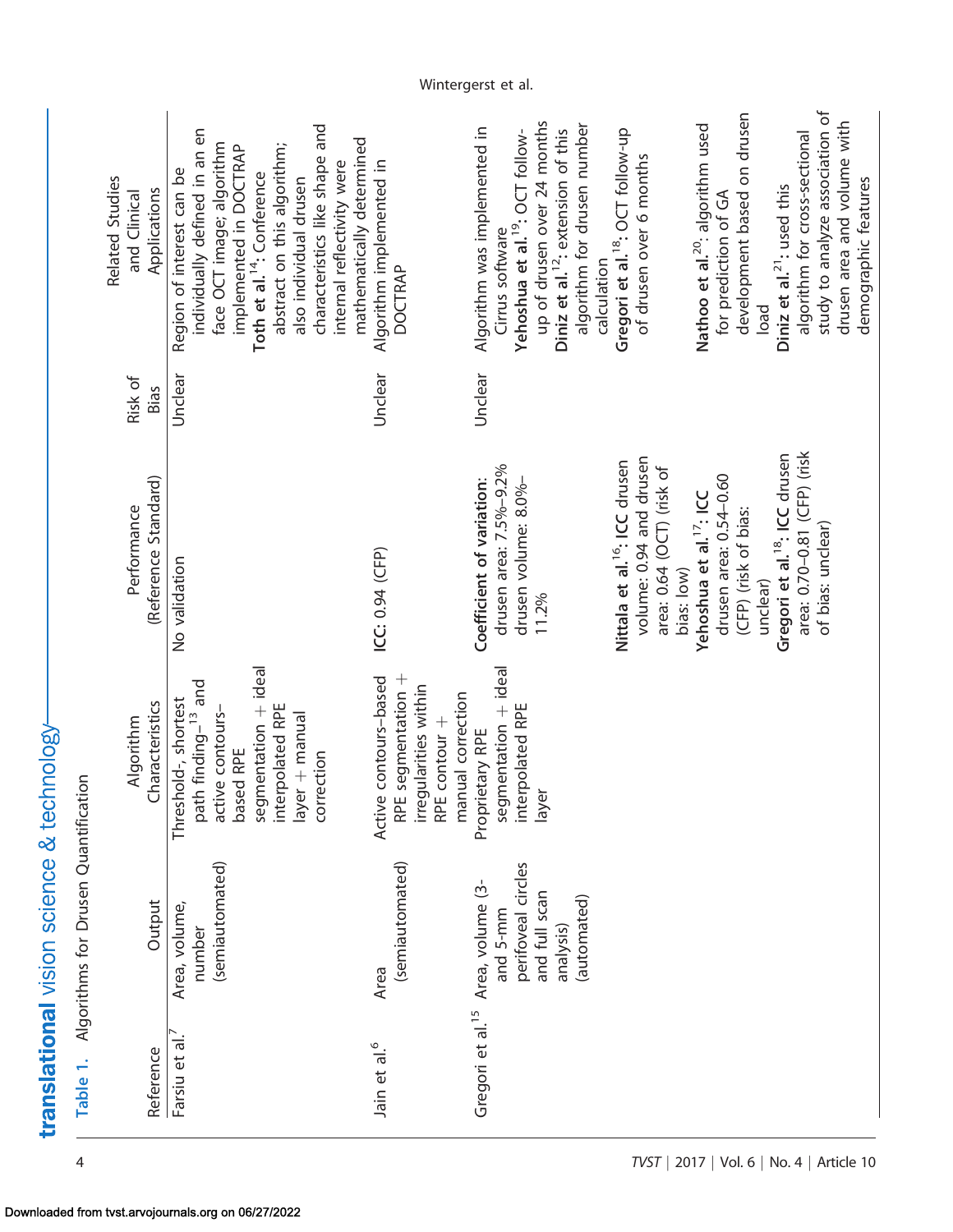<span id="page-3-0"></span>

| Related Studies<br>Applications<br>and Clinical | characteristics like shape and<br>ndividually defined in an en                                                                                                                                                                                 |                                                                                                                   | up of drusen over 24 months<br>algorithm for drusen number                                                                                                      |                                                                                                                 | development based on drusen                                                                       | study to analyze association of<br>drusen area and volume with                                  |
|-------------------------------------------------|------------------------------------------------------------------------------------------------------------------------------------------------------------------------------------------------------------------------------------------------|-------------------------------------------------------------------------------------------------------------------|-----------------------------------------------------------------------------------------------------------------------------------------------------------------|-----------------------------------------------------------------------------------------------------------------|---------------------------------------------------------------------------------------------------|-------------------------------------------------------------------------------------------------|
|                                                 | mathematically determined<br>face OCT image; algorithm<br>abstract on this algorithm;<br>implemented in DOCTRAP<br>internal reflectivity were<br>Region of interest can be<br>Toth et al. <sup>14</sup> : Conference<br>also individual drusen | Algorithm implemented in<br><b>DOCTRAP</b>                                                                        | Algorithm was implemented in<br>Diniz et al. <sup>12</sup> : extension of this<br>Yehoshua et al. <sup>19</sup> : OCT follow-<br>Cirrus software<br>calculation | Gregori et al. <sup>18</sup> : OCT follow-up<br>of drusen over 6 months                                         | Nathoo et al. <sup>20</sup> : algorithm used<br>for prediction of GA<br>load                      | algorithm for cross-sectional<br>demographic features<br>Diniz et al. <sup>21</sup> : used this |
| Risk of<br>Bias                                 | Unclear                                                                                                                                                                                                                                        | Unclear                                                                                                           | Unclear                                                                                                                                                         |                                                                                                                 |                                                                                                   |                                                                                                 |
| (Reference Standard)<br>Performance             | No validation                                                                                                                                                                                                                                  | ICC: 0.94 (CFP)                                                                                                   | drusen area: 7.5%-9.2%<br>Coefficient of variation:<br>drusen volume: 8.0%-<br>11.2%                                                                            | volume: 0.94 and drusen<br>Nittala et al. <sup>16</sup> : ICC drusen<br>area: 0.64 (OCT) (risk of<br>bias: low) | drusen area: 0.54-0.60<br>Yehoshua et al. <sup>17</sup> : ICC<br>(CFP) (risk of bias:<br>unclear) | area: 0.70-0.81 (CFP) (risk<br>Gregori et al. <sup>18</sup> : ICC drusen<br>of bias: unclear)   |
| Characteristics<br>Algorithm                    | segmentation + ideal<br>path finding- <sup>13</sup> and<br>Threshold-, shortest<br>interpolated RPE<br>active contours-<br>layer + manual<br>based RPE<br>correction                                                                           | segmentation +<br>contours-based<br>irregularities within<br>RPE contour +<br>manual correction<br>RPE.<br>Active | segmentation + ideal<br>interpolated RPE<br>Proprietary RPE<br>layer                                                                                            |                                                                                                                 |                                                                                                   |                                                                                                 |
| <b>Dutput</b>                                   | (semiautomated)<br>Area, volume,<br>number                                                                                                                                                                                                     | (semiautomated)<br>Area                                                                                           | perifoveal circles<br>Area, volume (3-<br>and full scan<br>(automated)<br>and 5-mm<br>analysis)                                                                 |                                                                                                                 |                                                                                                   |                                                                                                 |
| Reference                                       | Farsiu et al                                                                                                                                                                                                                                   | Jain et al. <sup>6</sup>                                                                                          | Gregori et al. <sup>15</sup>                                                                                                                                    |                                                                                                                 |                                                                                                   |                                                                                                 |

Table 1. Algorithms for Drusen Quantification

Table 1. Algorithms for Drusen Quantification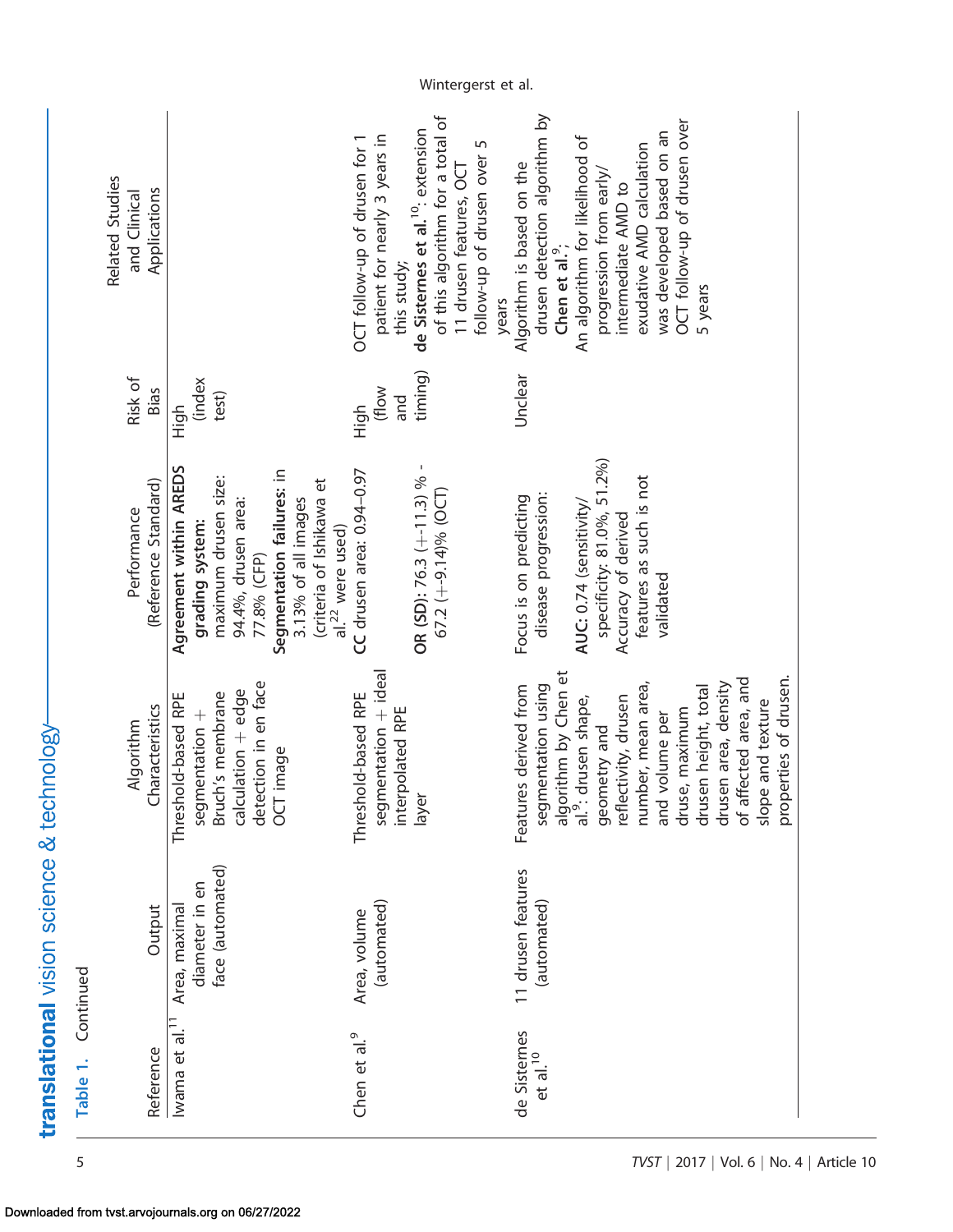| Table 1.                   | Continued                                           |                                                           |                                                                   |                         |                                                             |
|----------------------------|-----------------------------------------------------|-----------------------------------------------------------|-------------------------------------------------------------------|-------------------------|-------------------------------------------------------------|
|                            |                                                     | Algorithm                                                 | Performance                                                       | Risk of                 | Related Studies<br>and Clinical                             |
| Reference                  | Output                                              | Characteristics                                           | (Reference Standard)                                              | <b>Bias</b>             | Applications                                                |
| $\frac{1}{10}$<br>Iwama et | face (automated)<br>diameter in en<br>Area, maximal | segmentation +<br>Bruch's membrane<br>Threshold-based RPE | Agreement within AREDS<br>maximum drusen size:<br>grading system: | (index<br>test)<br>High |                                                             |
|                            |                                                     | detection in en face<br>calculation + edge                | 94.4%, drusen area:<br>77.8% (CFP)                                |                         |                                                             |
|                            |                                                     | OCT image                                                 | Segmentation failures: in<br>3.13% of all images                  |                         |                                                             |
|                            |                                                     |                                                           | (criteria of Ishikawa et<br>al. <sup>22</sup> were used)          |                         |                                                             |
| Chen et al. <sup>9</sup>   | Area, volume                                        | Threshold-based RPE                                       | CC drusen area: 0.94-0.97                                         | High                    | OCT follow-up of drusen for 1                               |
|                            | (automated)                                         | segmentation + ideal<br>interpolated RPE                  |                                                                   | (flow<br>and            | patient for nearly 3 years in<br>this study;                |
|                            |                                                     |                                                           | OR (SD): 76.3 (+-11.3) % -                                        | timing)                 | de Sisternes et al. <sup>10</sup> : extension               |
|                            |                                                     | layer                                                     | 67.2 $(+9.14)\%$ (OCT)                                            |                         | of this algorithm for a total of                            |
|                            |                                                     |                                                           |                                                                   |                         | 11 drusen features, OCT                                     |
|                            |                                                     |                                                           |                                                                   |                         | follow-up of drusen over 5                                  |
|                            |                                                     |                                                           |                                                                   |                         | years                                                       |
| de Sisternes               | 11 drusen features                                  | Features derived from                                     | Focus is on predicting                                            | Unclear                 | Algorithm is based on the                                   |
| $et$ al. <sup>10</sup>     | (automated)                                         | segmentation using                                        | disease progression:                                              |                         | drusen detection algorithm by<br>Chen et al. <sup>9</sup> ; |
|                            |                                                     | algorithm by Chen et<br>al. <sup>9</sup> : drusen shape,  | AUC: 0.74 (sensitivity/                                           |                         | An algorithm for likelihood of                              |
|                            |                                                     | geometry and                                              | specificity: 81.0%, 51.2%)                                        |                         | progression from early/                                     |
|                            |                                                     | reflectivity, drusen                                      | Accuracy of derived                                               |                         | intermediate AMD to                                         |
|                            |                                                     | number, mean area,                                        | features as such is not                                           |                         | exudative AMD calculation                                   |
|                            |                                                     | and volume per                                            | validated                                                         |                         | was developed based on an                                   |
|                            |                                                     | druse, maximum                                            |                                                                   |                         | OCT follow-up of drusen over                                |
|                            |                                                     | drusen height, total                                      |                                                                   |                         | 5 years                                                     |
|                            |                                                     | drusen area, density                                      |                                                                   |                         |                                                             |
|                            |                                                     | of affected area, and                                     |                                                                   |                         |                                                             |
|                            |                                                     | slope and texture                                         |                                                                   |                         |                                                             |
|                            |                                                     | properties of drusen.                                     |                                                                   |                         |                                                             |

Wintergerst et al.

# translational vision science & technology-

Downloaded from tvst.arvojournals.org on 06/27/2022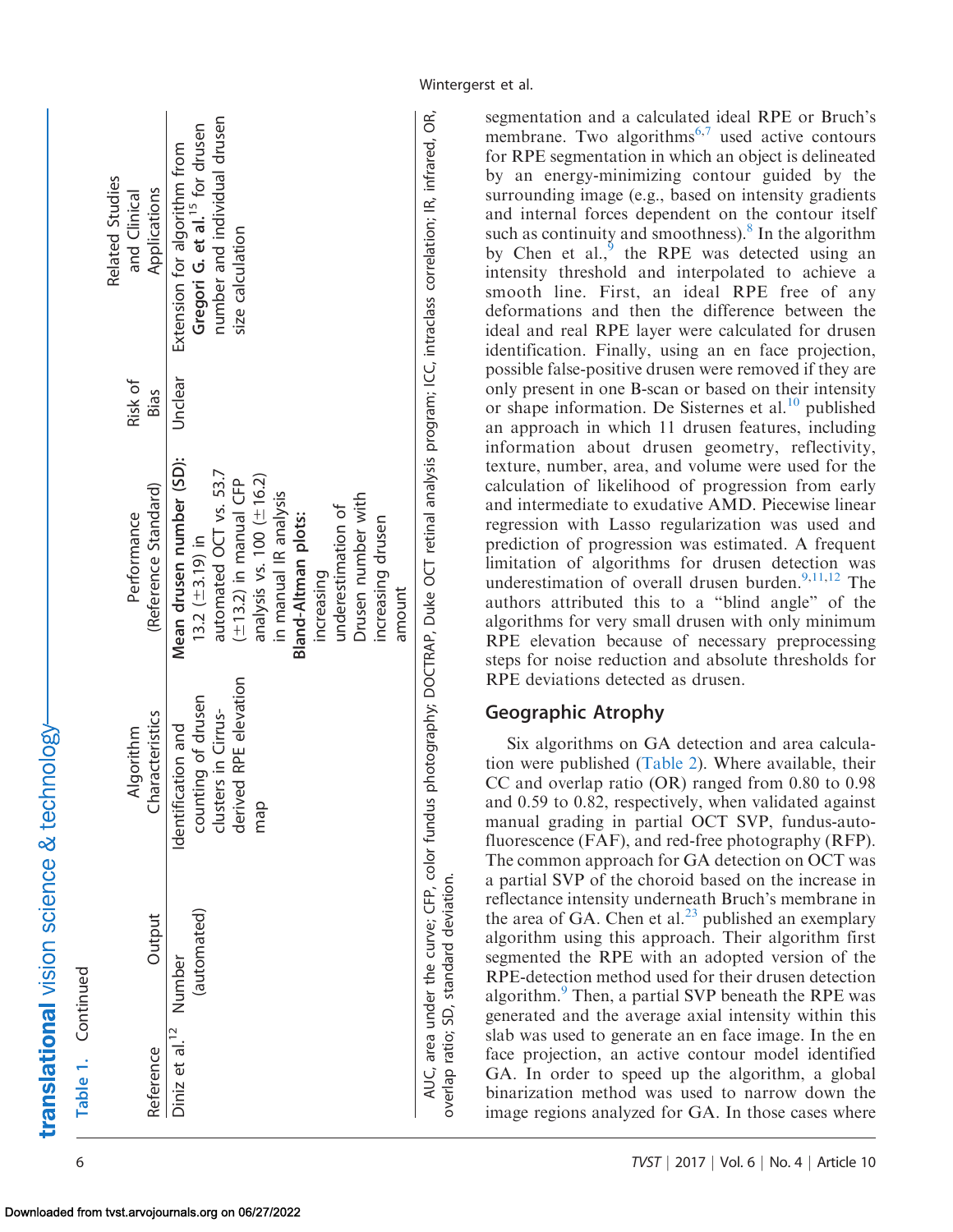| Table 1. Continued                               |                                                                                                 |                                                                                                                                                                                                                                                                                             |                 |                                                                                                                                                      |
|--------------------------------------------------|-------------------------------------------------------------------------------------------------|---------------------------------------------------------------------------------------------------------------------------------------------------------------------------------------------------------------------------------------------------------------------------------------------|-----------------|------------------------------------------------------------------------------------------------------------------------------------------------------|
| Output<br>Reference                              | <b>haracteristics</b><br>Algorithm                                                              | (Reference Standard)<br>Performance                                                                                                                                                                                                                                                         | Risk of<br>Bias | <b>Related Studies</b><br>Applications<br>and Clinical                                                                                               |
| (automated)<br>Diniz et al. <sup>12</sup> Number | derived RPE elevation<br>counting of drusen<br>clusters in Cirrus-<br>Identification and<br>map | Mean drusen number (SD):<br>automated OCT vs. 53.7<br>analysis vs. $100$ $(\pm 16.2)$<br>$(\pm 13.2)$ in manual CFP<br>in manual IR analysis<br>Drusen number with<br>underestimation of<br><b>Bland-Altman plots:</b><br>increasing drusen<br>13.2 $(\pm 3.19)$ in<br>increasing<br>amount | Unclear         | number and individual drusen<br>Gregori G. et al. <sup>15</sup> for drusen<br>Extension for algorithm from<br>size calculation                       |
| overlap ratio; SD, standard deviation.           |                                                                                                 |                                                                                                                                                                                                                                                                                             |                 | AUC, area under the curve; CFP, color fundus photography; DOCTRAP, Duke OCT retinal analysis program; ICC, intraclass correlation; IR, infrared, OR, |

Wintergerst et al.

segmentation and a calculated ideal RPE or Bruch's membrane. Two algorithms $6,7$  used active contours for RPE segmentation in which an object is delineated by an energy-minimizing contour guided by the surrounding image (e.g., based on intensity gradients and internal forces dependent on the contour itself such as continuity and smoothness). $8 \text{ In the algorithm}$  $8 \text{ In the algorithm}$ by Chen et al., $\frac{5}{3}$  the RPE was detected using an intensity threshold and interpolated to achieve a smooth line. First, an ideal RPE free of any deformations and then the difference between the ideal and real RPE layer were calculated for drusen identification. Finally, using an en face projection, possible false-positive drusen were removed if they are only present in one B-scan or based on their intensity or shape information. De Sisternes et al. $^{10}$  $^{10}$  $^{10}$  published an approach in which 11 drusen features, including information about drusen geometry, reflectivity, texture, number, area, and volume were used for the calculation of likelihood of progression from early and intermediate to exudative AMD. Piecewise linear regression with Lasso regularization was used and prediction of progression was estimated. A frequent limitation of algorithms for drusen detection was underestimation of overall drusen burden.<sup>[9](#page-16-0),[11,12](#page-16-0)</sup> The authors attributed this to a ''blind angle'' of the algorithms for very small drusen with only minimum RPE elevation because of necessary preprocessing steps for noise reduction and absolute thresholds for RPE deviations detected as drusen.

### Geographic Atrophy

Six algorithms on GA detection and area calculation were published [\(Table 2](#page-6-0)). Where available, their CC and overlap ratio (OR) ranged from 0.80 to 0.98 and 0.59 to 0.82, respectively, when validated against manual grading in partial OCT SVP, fundus-autofluorescence (FAF), and red-free photography (RFP). The common approach for GA detection on OCT was a partial SVP of the choroid based on the increase in reflectance intensity underneath Bruch's membrane in the area of GA. Chen et al. $^{23}$  published an exemplary algorithm using this approach. Their algorithm first segmented the RPE with an adopted version of the RPE-detection method used for their drusen detection algorithm. $9$  Then, a partial SVP beneath the RPE was generated and the average axial intensity within this slab was used to generate an en face image. In the en face projection, an active contour model identified GA. In order to speed up the algorithm, a global binarization method was used to narrow down the image regions analyzed for GA. In those cases where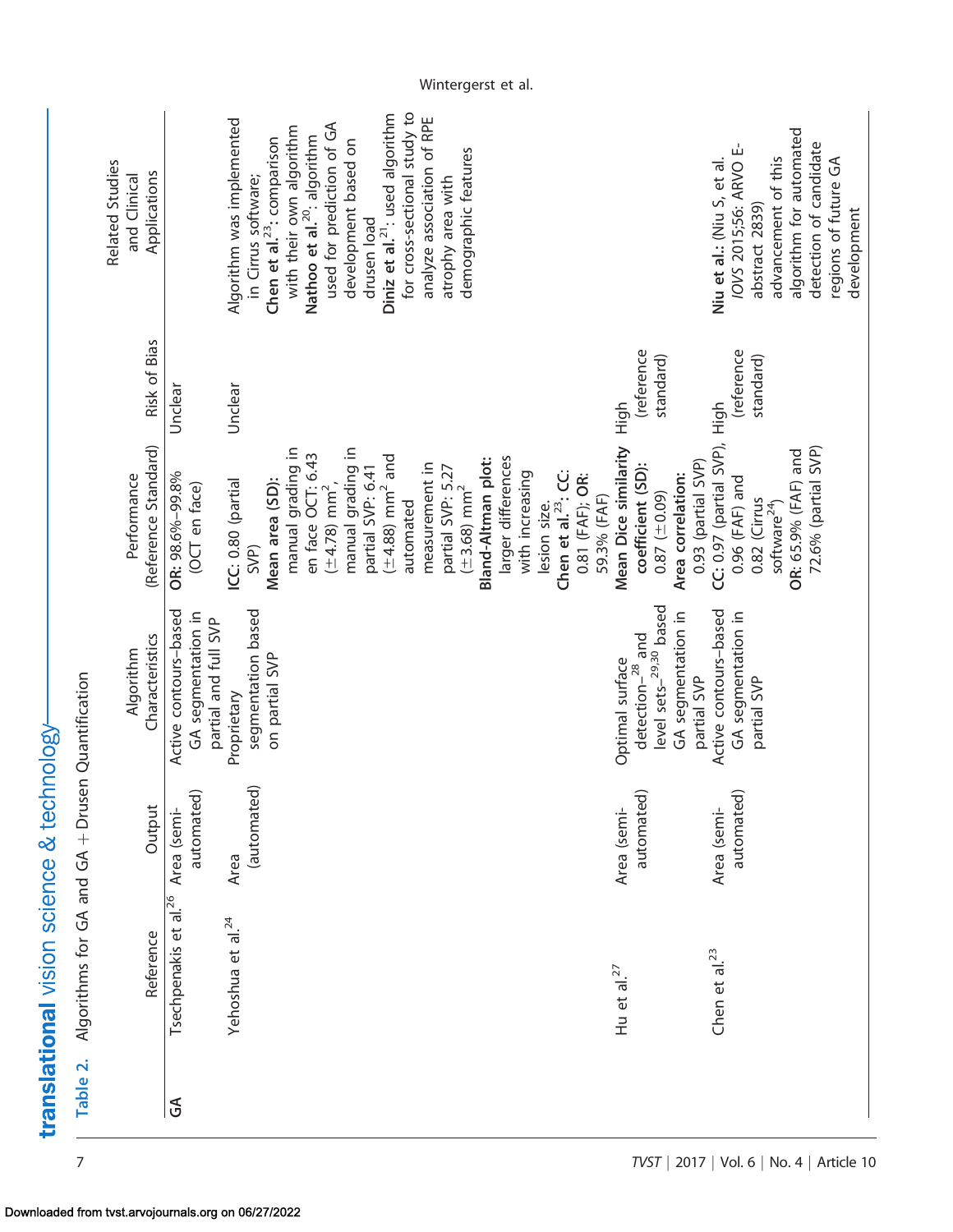<span id="page-6-0"></span>

|                                                  | Related Studies<br>and Clinical | Applications         |                                                                     | Algorithm was implemented         | in Cirrus software;<br>Chen et al. <sup>23</sup> : comparison | with their own algorithm | Nathoo et al. <sup>20</sup> : algorithm | used for prediction of GA      | development based on | drusen load       | Diniz et al. <sup>21</sup> : used algorithm | for cross-sectional study to | analyze association of RPE | atrophy area with | demographic features         |                    |                    |                 |              |                                 |                 |             |                                                    |                        |                    |                    | Niu et al.: (Niu S, et al. | /OVS 2015;56: ARVO E- | abstract 2839) | advancement of this      | algorithm for automated | detection of candidate | regions of future GA<br>development |  |
|--------------------------------------------------|---------------------------------|----------------------|---------------------------------------------------------------------|-----------------------------------|---------------------------------------------------------------|--------------------------|-----------------------------------------|--------------------------------|----------------------|-------------------|---------------------------------------------|------------------------------|----------------------------|-------------------|------------------------------|--------------------|--------------------|-----------------|--------------|---------------------------------|-----------------|-------------|----------------------------------------------------|------------------------|--------------------|--------------------|----------------------------|-----------------------|----------------|--------------------------|-------------------------|------------------------|-------------------------------------|--|
|                                                  |                                 | Risk of Bias         | Unclear                                                             | Unclear                           |                                                               |                          |                                         |                                |                      |                   |                                             |                              |                            |                   |                              |                    |                    |                 |              |                                 |                 |             | (reference<br>High                                 | standard)              |                    |                    | High                       | (reference            | standard)      |                          |                         |                        |                                     |  |
|                                                  | Performance                     | (Reference Standard) | OR: 98.6%-99.8%<br>(OCT en face)                                    | ICC: 0.80 (partial<br>SVP)        | Mean area (SD):                                               | manual grading in        | en face OCT: 6.43                       | $(\pm 4.78)$ mm <sup>2</sup> , | manual grading in    | partial SVP: 6.41 | $(\pm 4.88)$ mm <sup>2</sup> and            | automated                    | measurement in             | partial SVP: 5.27 | $(\pm 3.68)$ mm <sup>2</sup> | Bland-Altman plot: | larger differences | with increasing | lesion size. | Chen et al. <sup>23</sup> : CC: | 0.81 (FAF); OR: | 59.3% (FAF) | Mean Dice similarity<br>coefficient (SD):          | $(60.0 \pm 0.87)$      | Area correlation:  | 0.93 (partial SVP) | CC: 0.97 (partial SVP),    | $0.96$ (FAF) and      | 0.82 (Cirrus   | software <sup>24</sup> ) | OR: 65.9% (FAF) and     | 72.6% (partial SVP)    |                                     |  |
|                                                  | Algorithm                       | Characteristics      | Active contours-based<br>GA segmentation in<br>partial and full SVP | segmentation based<br>Proprietary | on partial SVP                                                |                          |                                         |                                |                      |                   |                                             |                              |                            |                   |                              |                    |                    |                 |              |                                 |                 |             | detection $-$ <sup>28</sup> and<br>Optimal surface | level sets-29,30 based | GA segmentation in | partial SVP        | Active contours-based      | GA segmentation in    | partial SVP    |                          |                         |                        |                                     |  |
|                                                  |                                 | Output               | automated)<br>Area (semi-                                           | (automated)<br>Area               |                                                               |                          |                                         |                                |                      |                   |                                             |                              |                            |                   |                              |                    |                    |                 |              |                                 |                 |             | automated)<br>Area (semi-                          |                        |                    |                    | Area (semi-                | automated)            |                |                          |                         |                        |                                     |  |
| Algorithms for GA and GA + Drusen Quantification |                                 | Reference            | Tsechpenakis et al. <sup>26</sup>                                   | Yehoshua et al. <sup>24</sup>     |                                                               |                          |                                         |                                |                      |                   |                                             |                              |                            |                   |                              |                    |                    |                 |              |                                 |                 |             | Hu et al. $27$                                     |                        |                    |                    | Chen et al. <sup>23</sup>  |                       |                |                          |                         |                        |                                     |  |
| Table 2.                                         |                                 |                      | $\mathfrak{F}$                                                      |                                   |                                                               |                          |                                         |                                |                      |                   |                                             |                              |                            |                   |                              |                    |                    |                 |              |                                 |                 |             |                                                    |                        |                    |                    |                            |                       |                |                          |                         |                        |                                     |  |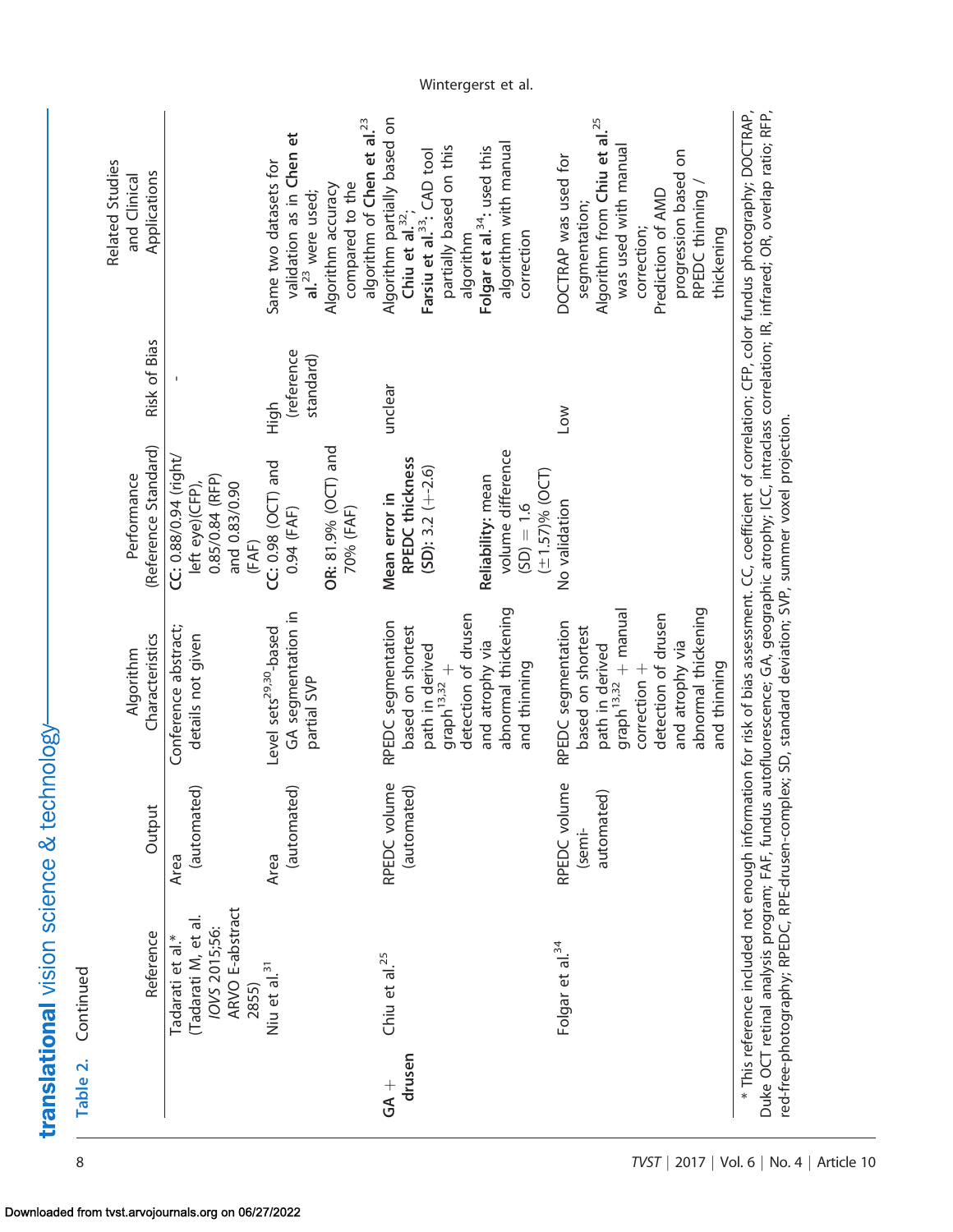|                         | Reference                                                                            | Output                      | Characteristics<br>Algorithm                                                                                                                     | (Reference Standard)<br>Performance                                                               | Risk of Bias                    | <b>Related Studies</b><br>Applications<br>and Clinical                                                                                                                                                                            |
|-------------------------|--------------------------------------------------------------------------------------|-----------------------------|--------------------------------------------------------------------------------------------------------------------------------------------------|---------------------------------------------------------------------------------------------------|---------------------------------|-----------------------------------------------------------------------------------------------------------------------------------------------------------------------------------------------------------------------------------|
|                         | ARVO E-abstract<br>(Tadarati M, et al.<br>IOVS 2015;56:<br>Tadarati et al.*<br>2855) | (automated)<br>Area         | Conference abstract;<br>details not given                                                                                                        | CC: 0.88/0.94 (right,<br>0.85/0.84 (RFP)<br>left eye)(CFP),<br>and 0.83/0.90<br>(FAF)             |                                 |                                                                                                                                                                                                                                   |
|                         | Niu et al. <sup>31</sup>                                                             | (automated)<br>Area         | GA segmentation in<br>Level sets <sup>29,30</sup> -based<br>partial SVP                                                                          | OR: 81.9% (OCT) and<br>CC: 0.98 (OCT) and<br>0.94 (FAF)                                           | (reference<br>standard)<br>High | validation as in Chen et<br>Same two datasets for<br>Algorithm accuracy<br>al. <sup>23</sup> were used;                                                                                                                           |
|                         |                                                                                      |                             |                                                                                                                                                  | 70% (FAF)                                                                                         |                                 | algorithm of Chen et al. <sup>23</sup><br>compared to the                                                                                                                                                                         |
| drusen<br>$\frac{1}{2}$ | Chiu et al. <sup>25</sup>                                                            | RPEDC volume<br>(automated) | abnormal thickening<br>detection of drusen<br>RPEDC segmentation<br>based on shortest<br>and atrophy via<br>path in derived<br>$graph^{13,32} +$ | volume difference<br>RPEDC thickness<br>$(SD): 3.2 (+-2.6)$<br>Reliability: mean<br>Mean error in | unclear                         | Algorithm partially based on<br>algorithm with manual<br>partially based on this<br>Folgar et al. <sup>34</sup> : used this<br>Farsiu et al. <sup>33</sup> : CAD tool<br>Chiu et al. <sup>32</sup> ,<br>algorithm                 |
|                         | Folgar et al. <sup>34</sup>                                                          | RPEDC volume                | RPEDC segmentation<br>and thinning                                                                                                               | $(\pm 1.57)$ % (OCT)<br>No validation<br>$(5D) = 1.6$                                             | Low                             | DOCTRAP was used for<br>correction                                                                                                                                                                                                |
|                         |                                                                                      | automated)<br>(semi-        | $graph^{13,32} + manual$<br>based on shortest<br>path in derived                                                                                 |                                                                                                   |                                 | Algorithm from Chiu et al. <sup>25</sup><br>was used with manua<br>segmentation;                                                                                                                                                  |
|                         |                                                                                      |                             | abnormal thickening<br>detection of drusen<br>and atrophy via<br>$correction +$                                                                  |                                                                                                   |                                 | progression based on<br>RPEDC thinning<br>Prediction of AMD<br>correction;                                                                                                                                                        |
|                         |                                                                                      |                             | and thinning                                                                                                                                     |                                                                                                   |                                 | thickening                                                                                                                                                                                                                        |
|                         |                                                                                      |                             |                                                                                                                                                  |                                                                                                   |                                 | * This reference included not enough information for risk of bias assessment. CC, coefficient of correlation; CFP, color fundus photography; DOCTRAP,<br>Duke OCT retinal analysis program; FAF, fundus autofluorescence; GA, geo |

translational vision science & technology-

Table 2. Continued

Table 2. Continued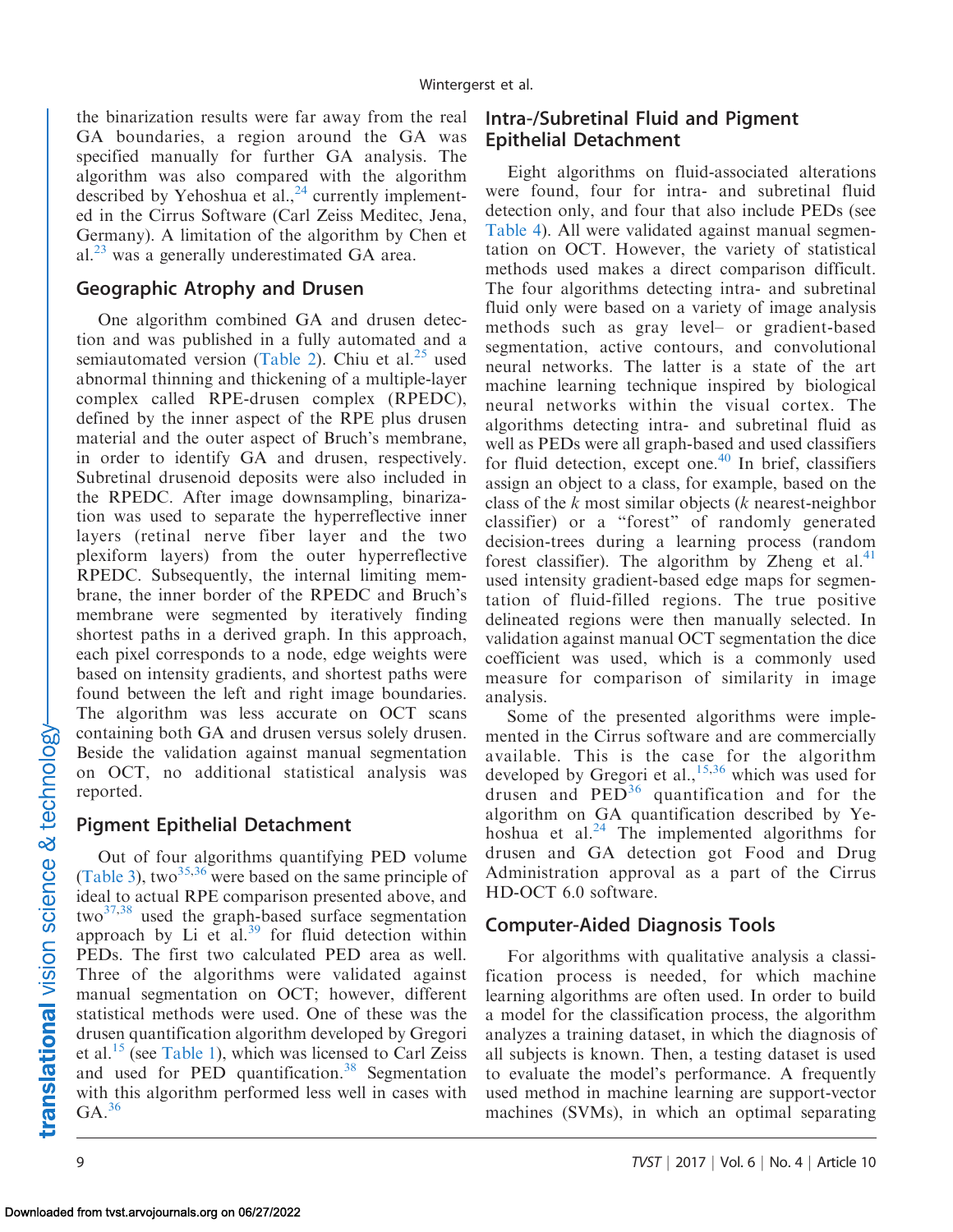the binarization results were far away from the real GA boundaries, a region around the GA was specified manually for further GA analysis. The algorithm was also compared with the algorithm described by Yehoshua et al., $^{24}$  currently implemented in the Cirrus Software (Carl Zeiss Meditec, Jena, Germany). A limitation of the algorithm by Chen et al. $^{23}$  was a generally underestimated GA area.

### Geographic Atrophy and Drusen

One algorithm combined GA and drusen detection and was published in a fully automated and a semiautomated version ([Table 2](#page-6-0)). Chiu et al. $^{25}$  used abnormal thinning and thickening of a multiple-layer complex called RPE-drusen complex (RPEDC), defined by the inner aspect of the RPE plus drusen material and the outer aspect of Bruch's membrane, in order to identify GA and drusen, respectively. Subretinal drusenoid deposits were also included in the RPEDC. After image downsampling, binarization was used to separate the hyperreflective inner layers (retinal nerve fiber layer and the two plexiform layers) from the outer hyperreflective RPEDC. Subsequently, the internal limiting membrane, the inner border of the RPEDC and Bruch's membrane were segmented by iteratively finding shortest paths in a derived graph. In this approach, each pixel corresponds to a node, edge weights were based on intensity gradients, and shortest paths were found between the left and right image boundaries. The algorithm was less accurate on OCT scans containing both GA and drusen versus solely drusen. Beside the validation against manual segmentation on OCT, no additional statistical analysis was reported.

## Pigment Epithelial Detachment

Out of four algorithms quantifying PED volume ([Table 3](#page-9-0)), two<sup>[35](#page-17-0),[36](#page-17-0)</sup> were based on the same principle of ideal to actual RPE comparison presented above, and two<sup>[37,38](#page-17-0)</sup> used the graph-based surface segmentation approach by Li et al. $39$  for fluid detection within PEDs. The first two calculated PED area as well. Three of the algorithms were validated against manual segmentation on OCT; however, different statistical methods were used. One of these was the drusen quantification algorithm developed by Gregori et al.<sup>15</sup> (see [Table 1](#page-3-0)), which was licensed to Carl Zeiss and used for PED quantification. $38$  Segmentation with this algorithm performed less well in cases with  $GA.<sup>36</sup>$  $GA.<sup>36</sup>$  $GA.<sup>36</sup>$ 

# Intra-/Subretinal Fluid and Pigment Epithelial Detachment

Eight algorithms on fluid-associated alterations were found, four for intra- and subretinal fluid detection only, and four that also include PEDs (see [Table 4\)](#page-10-0). All were validated against manual segmentation on OCT. However, the variety of statistical methods used makes a direct comparison difficult. The four algorithms detecting intra- and subretinal fluid only were based on a variety of image analysis methods such as gray level– or gradient-based segmentation, active contours, and convolutional neural networks. The latter is a state of the art machine learning technique inspired by biological neural networks within the visual cortex. The algorithms detecting intra- and subretinal fluid as well as PEDs were all graph-based and used classifiers for fluid detection, except one. $40$  In brief, classifiers assign an object to a class, for example, based on the class of the  $k$  most similar objects  $(k$  nearest-neighbor classifier) or a ''forest'' of randomly generated decision-trees during a learning process (random forest classifier). The algorithm by Zheng et al.<sup>[41](#page-17-0)</sup> used intensity gradient-based edge maps for segmentation of fluid-filled regions. The true positive delineated regions were then manually selected. In validation against manual OCT segmentation the dice coefficient was used, which is a commonly used measure for comparison of similarity in image analysis.

Some of the presented algorithms were implemented in the Cirrus software and are commercially available. This is the case for the algorithm developed by Gregori et al.,<sup>[15,](#page-16-0)[36](#page-17-0)</sup> which was used for drusen and  $\text{PED}^{36}$  $\text{PED}^{36}$  $\text{PED}^{36}$  quantification and for the algorithm on GA quantification described by Yehoshua et al. $^{24}$  $^{24}$  $^{24}$  The implemented algorithms for drusen and GA detection got Food and Drug Administration approval as a part of the Cirrus HD-OCT 6.0 software.

# Computer-Aided Diagnosis Tools

For algorithms with qualitative analysis a classification process is needed, for which machine learning algorithms are often used. In order to build a model for the classification process, the algorithm analyzes a training dataset, in which the diagnosis of all subjects is known. Then, a testing dataset is used to evaluate the model's performance. A frequently used method in machine learning are support-vector machines (SVMs), in which an optimal separating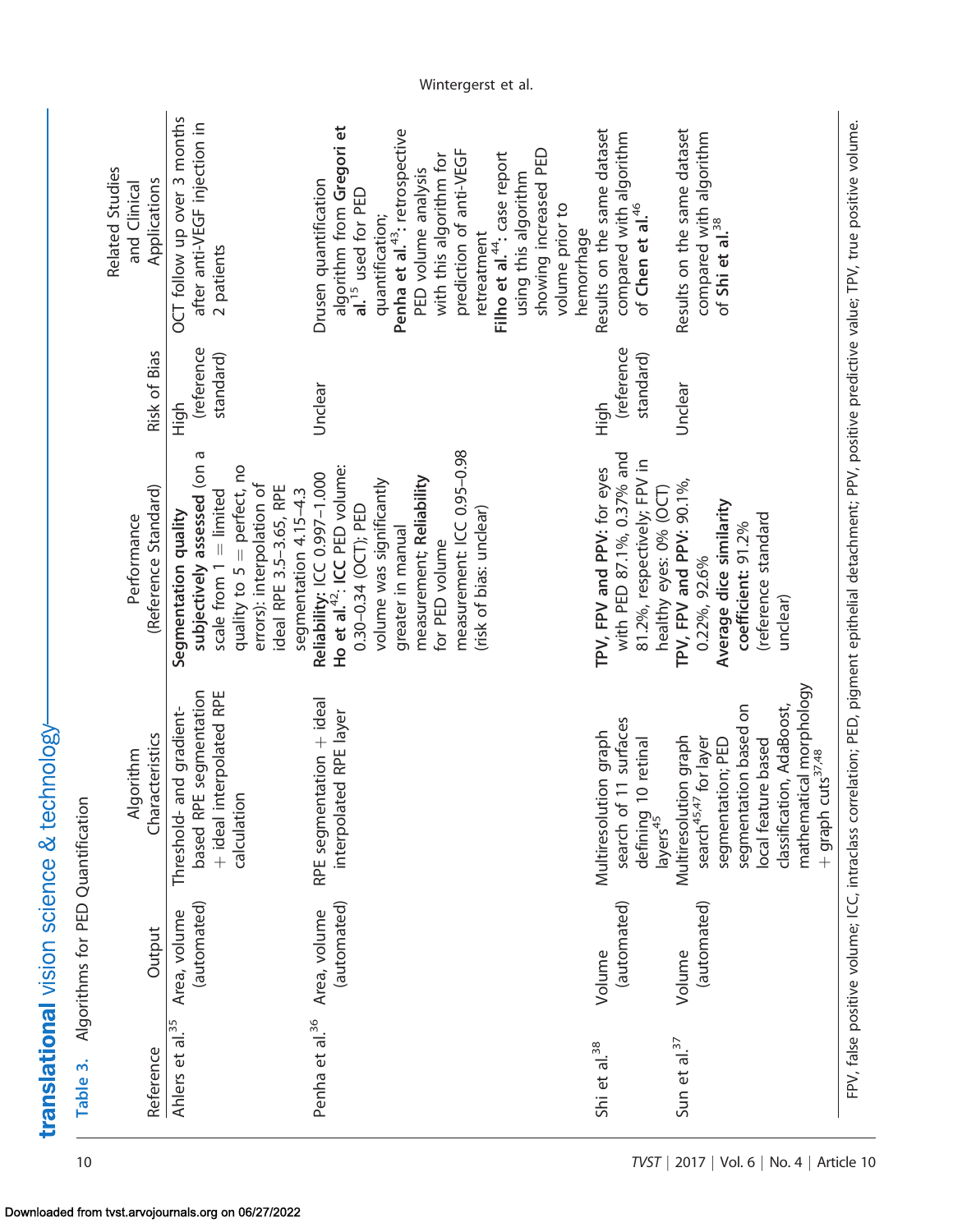<span id="page-9-0"></span>

| mathematical morphology<br>segmentation based on<br>classification, AdaBoost,<br>search of 11 surfaces<br>Multiresolution graph<br>Multiresolution graph<br>search <sup>45,47</sup> for layer<br>defining 10 retinal<br>layers <sup>45</sup><br>segmentation; PED<br>local feature based<br>+ graph cuts <sup>37,48</sup> |
|---------------------------------------------------------------------------------------------------------------------------------------------------------------------------------------------------------------------------------------------------------------------------------------------------------------------------|

Table 3. Algorithms for PED Quantification

Table 3. Algorithms for PED Quantification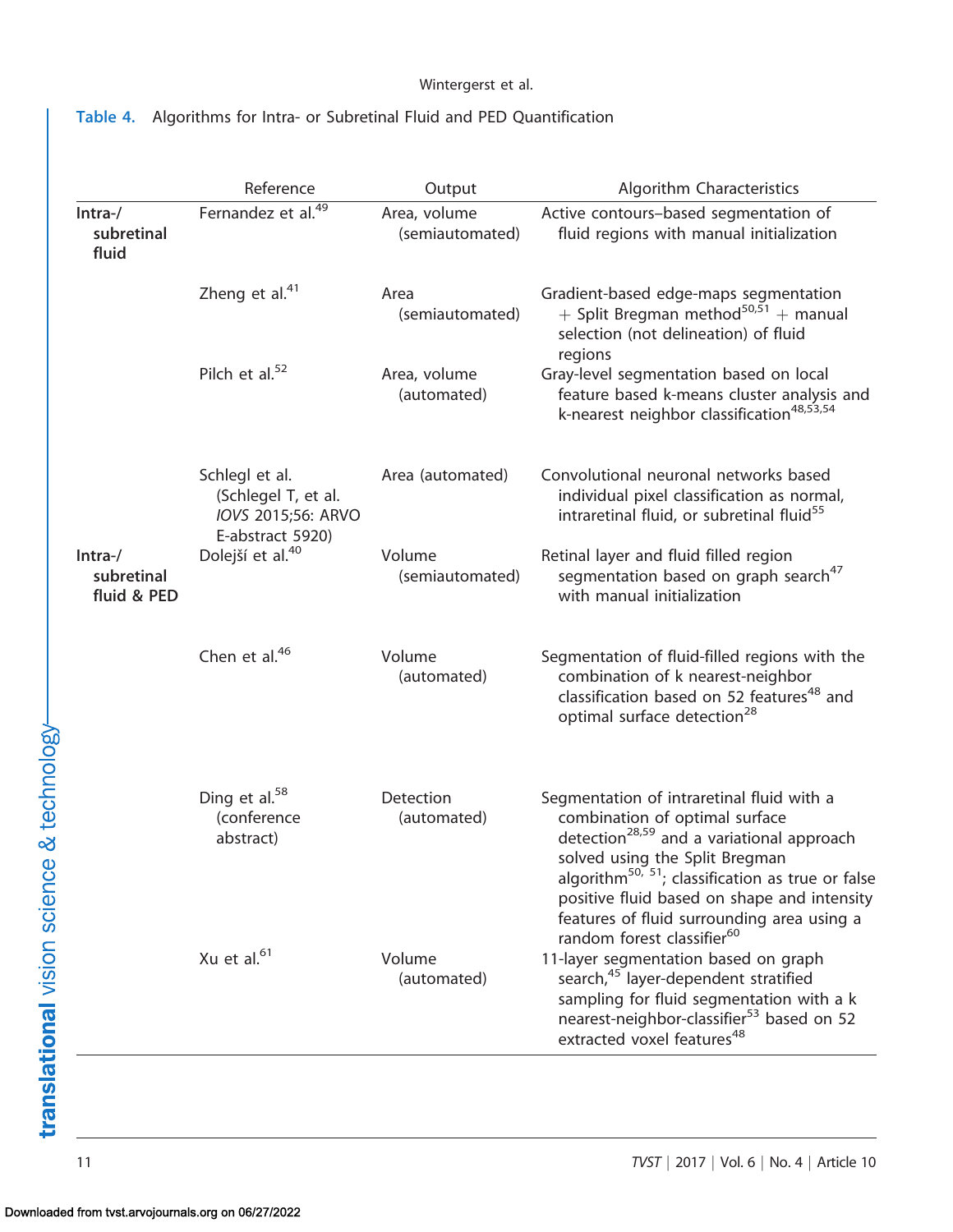### Wintergerst et al.

## <span id="page-10-0"></span>Table 4. Algorithms for Intra- or Subretinal Fluid and PED Quantification

|                                       | Reference                                                                       | Output                          | Algorithm Characteristics                                                                                                                                                                                                                                                                                                            |
|---------------------------------------|---------------------------------------------------------------------------------|---------------------------------|--------------------------------------------------------------------------------------------------------------------------------------------------------------------------------------------------------------------------------------------------------------------------------------------------------------------------------------|
| Intra-/<br>subretinal<br>fluid        | Fernandez et al. <sup>49</sup>                                                  | Area, volume<br>(semiautomated) | Active contours-based segmentation of<br>fluid regions with manual initialization                                                                                                                                                                                                                                                    |
|                                       | Zheng et al. $41$                                                               | Area<br>(semiautomated)         | Gradient-based edge-maps segmentation<br>+ Split Bregman method <sup>50,51</sup> + manual<br>selection (not delineation) of fluid<br>regions                                                                                                                                                                                         |
|                                       | Pilch et al. $52$                                                               | Area, volume<br>(automated)     | Gray-level segmentation based on local<br>feature based k-means cluster analysis and<br>k-nearest neighbor classification <sup>48,53,54</sup>                                                                                                                                                                                        |
|                                       | Schlegl et al.<br>(Schlegel T, et al.<br>IOVS 2015;56: ARVO<br>E-abstract 5920) | Area (automated)                | Convolutional neuronal networks based<br>individual pixel classification as normal,<br>intraretinal fluid, or subretinal fluid <sup>55</sup>                                                                                                                                                                                         |
| $Intra-$<br>subretinal<br>fluid & PED | Dolejší et al. <sup>40</sup>                                                    | Volume<br>(semiautomated)       | Retinal layer and fluid filled region<br>segmentation based on graph search <sup>47</sup><br>with manual initialization                                                                                                                                                                                                              |
|                                       | Chen et al. $46$                                                                | Volume<br>(automated)           | Segmentation of fluid-filled regions with the<br>combination of k nearest-neighbor<br>classification based on 52 features <sup>48</sup> and<br>optimal surface detection <sup>28</sup>                                                                                                                                               |
|                                       | Ding et al. $58$<br>(conference<br>abstract)                                    | Detection<br>(automated)        | Segmentation of intraretinal fluid with a<br>combination of optimal surface<br>detection <sup>28,59</sup> and a variational approach<br>solved using the Split Bregman<br>algorithm <sup>50, 51</sup> ; classification as true or false<br>positive fluid based on shape and intensity<br>features of fluid surrounding area using a |
|                                       | Xu et al. <sup>61</sup>                                                         | Volume<br>(automated)           | random forest classifier <sup>60</sup><br>11-layer segmentation based on graph<br>search, <sup>45</sup> layer-dependent stratified<br>sampling for fluid segmentation with a k<br>nearest-neighbor-classifier <sup>53</sup> based on 52<br>extracted voxel features <sup>48</sup>                                                    |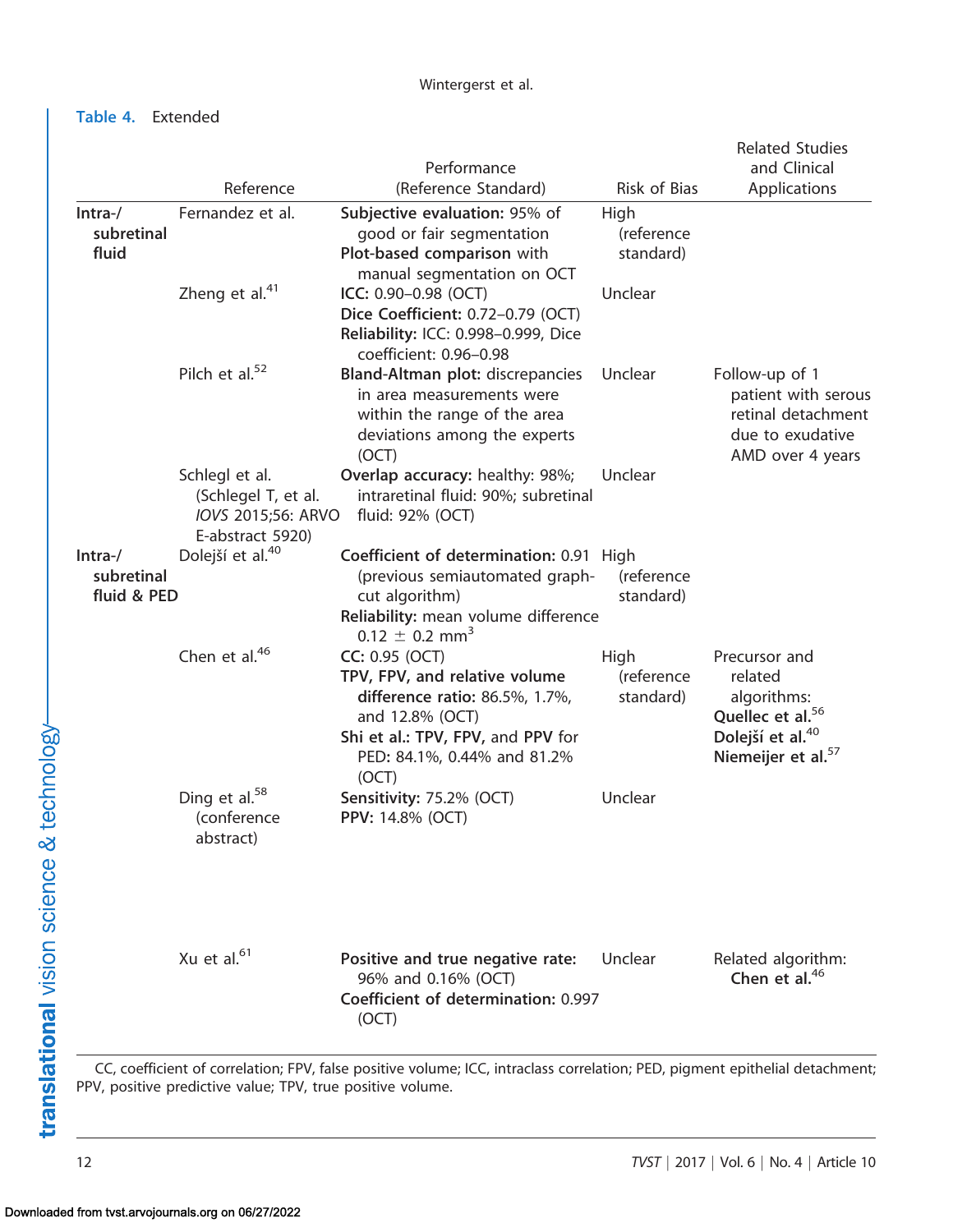Table 4. Extended

|                                       |                                                                                 | Performance                                                                                                                                                                       |                                 | <b>Related Studies</b><br>and Clinical                                                                                                    |
|---------------------------------------|---------------------------------------------------------------------------------|-----------------------------------------------------------------------------------------------------------------------------------------------------------------------------------|---------------------------------|-------------------------------------------------------------------------------------------------------------------------------------------|
|                                       | Reference                                                                       | (Reference Standard)                                                                                                                                                              | Risk of Bias                    | Applications                                                                                                                              |
| $Intra-$<br>subretinal<br>fluid       | Fernandez et al.                                                                | Subjective evaluation: 95% of<br>good or fair segmentation<br>Plot-based comparison with<br>manual segmentation on OCT                                                            | High<br>(reference<br>standard) |                                                                                                                                           |
|                                       | Zheng et al. $41$                                                               | ICC: 0.90-0.98 (OCT)<br>Dice Coefficient: 0.72-0.79 (OCT)<br>Reliability: ICC: 0.998-0.999, Dice<br>coefficient: 0.96-0.98                                                        | Unclear                         |                                                                                                                                           |
|                                       | Pilch et al. <sup>52</sup>                                                      | Bland-Altman plot: discrepancies<br>in area measurements were<br>within the range of the area<br>deviations among the experts<br>(OCT)                                            | Unclear                         | Follow-up of 1<br>patient with serous<br>retinal detachment<br>due to exudative<br>AMD over 4 years                                       |
|                                       | Schlegl et al.<br>(Schlegel T, et al.<br>IOVS 2015;56: ARVO<br>E-abstract 5920) | Overlap accuracy: healthy: 98%;<br>intraretinal fluid: 90%; subretinal<br>fluid: 92% (OCT)                                                                                        | Unclear                         |                                                                                                                                           |
| $Intra-$<br>subretinal<br>fluid & PED | Dolejší et al. <sup>40</sup>                                                    | Coefficient of determination: 0.91 High<br>(previous semiautomated graph-<br>cut algorithm)<br>Reliability: mean volume difference<br>$0.12 \pm 0.2$ mm <sup>3</sup>              | (reference<br>standard)         |                                                                                                                                           |
|                                       | Chen et al. $46$                                                                | CC: 0.95 (OCT)<br>TPV, FPV, and relative volume<br>difference ratio: 86.5%, 1.7%,<br>and 12.8% (OCT)<br>Shi et al.: TPV, FPV, and PPV for<br>PED: 84.1%, 0.44% and 81.2%<br>(OCT) | High<br>(reference<br>standard) | Precursor and<br>related<br>algorithms:<br>Quellec et al. <sup>56</sup><br>Dolejší et al. <sup>40</sup><br>Niemeijer et al. <sup>57</sup> |
|                                       | Ding et al. <sup>58</sup><br>(conference<br>abstract)                           | Sensitivity: 75.2% (OCT)<br><b>PPV: 14.8% (OCT)</b>                                                                                                                               | Unclear                         |                                                                                                                                           |
|                                       | Xu et al. <sup>61</sup>                                                         | Positive and true negative rate:<br>96% and 0.16% (OCT)<br>Coefficient of determination: 0.997<br>(OCT)                                                                           | Unclear                         | Related algorithm:<br>Chen et al. <sup>46</sup>                                                                                           |

PPV, positive predictive value; TPV, true positive volume.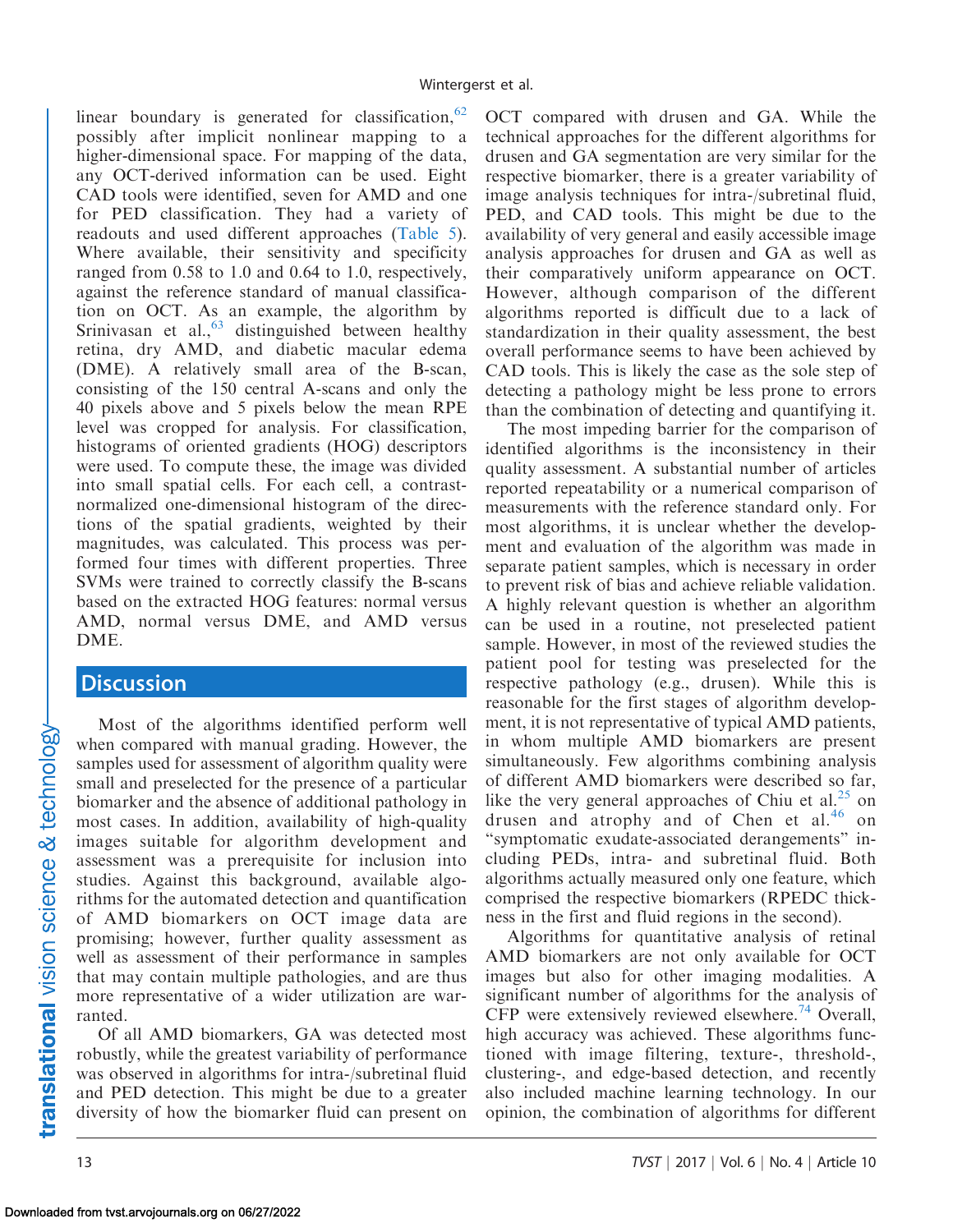linear boundary is generated for classification,  $62$ possibly after implicit nonlinear mapping to a higher-dimensional space. For mapping of the data, any OCT-derived information can be used. Eight CAD tools were identified, seven for AMD and one for PED classification. They had a variety of readouts and used different approaches [\(Table 5](#page-13-0)). Where available, their sensitivity and specificity ranged from 0.58 to 1.0 and 0.64 to 1.0, respectively, against the reference standard of manual classification on OCT. As an example, the algorithm by Srinivasan et al.,  $63$  distinguished between healthy retina, dry AMD, and diabetic macular edema (DME). A relatively small area of the B-scan, consisting of the 150 central A-scans and only the 40 pixels above and 5 pixels below the mean RPE level was cropped for analysis. For classification, histograms of oriented gradients (HOG) descriptors were used. To compute these, the image was divided into small spatial cells. For each cell, a contrastnormalized one-dimensional histogram of the directions of the spatial gradients, weighted by their magnitudes, was calculated. This process was performed four times with different properties. Three SVMs were trained to correctly classify the B-scans based on the extracted HOG features: normal versus AMD, normal versus DME, and AMD versus DME.

# **Discussion**

Most of the algorithms identified perform well when compared with manual grading. However, the samples used for assessment of algorithm quality were small and preselected for the presence of a particular biomarker and the absence of additional pathology in most cases. In addition, availability of high-quality images suitable for algorithm development and assessment was a prerequisite for inclusion into studies. Against this background, available algorithms for the automated detection and quantification of AMD biomarkers on OCT image data are promising; however, further quality assessment as well as assessment of their performance in samples that may contain multiple pathologies, and are thus more representative of a wider utilization are warranted.

Of all AMD biomarkers, GA was detected most robustly, while the greatest variability of performance was observed in algorithms for intra-/subretinal fluid and PED detection. This might be due to a greater diversity of how the biomarker fluid can present on OCT compared with drusen and GA. While the technical approaches for the different algorithms for drusen and GA segmentation are very similar for the respective biomarker, there is a greater variability of image analysis techniques for intra-/subretinal fluid, PED, and CAD tools. This might be due to the availability of very general and easily accessible image analysis approaches for drusen and GA as well as their comparatively uniform appearance on OCT. However, although comparison of the different algorithms reported is difficult due to a lack of standardization in their quality assessment, the best overall performance seems to have been achieved by CAD tools. This is likely the case as the sole step of detecting a pathology might be less prone to errors than the combination of detecting and quantifying it.

The most impeding barrier for the comparison of identified algorithms is the inconsistency in their quality assessment. A substantial number of articles reported repeatability or a numerical comparison of measurements with the reference standard only. For most algorithms, it is unclear whether the development and evaluation of the algorithm was made in separate patient samples, which is necessary in order to prevent risk of bias and achieve reliable validation. A highly relevant question is whether an algorithm can be used in a routine, not preselected patient sample. However, in most of the reviewed studies the patient pool for testing was preselected for the respective pathology (e.g., drusen). While this is reasonable for the first stages of algorithm development, it is not representative of typical AMD patients, in whom multiple AMD biomarkers are present simultaneously. Few algorithms combining analysis of different AMD biomarkers were described so far, like the very general approaches of Chiu et al.<sup>25</sup> on drusen and atrophy and of Chen et al.<sup>[46](#page-17-0)</sup> on ''symptomatic exudate-associated derangements'' including PEDs, intra- and subretinal fluid. Both algorithms actually measured only one feature, which comprised the respective biomarkers (RPEDC thickness in the first and fluid regions in the second).

Algorithms for quantitative analysis of retinal AMD biomarkers are not only available for OCT images but also for other imaging modalities. A significant number of algorithms for the analysis of CFP were extensively reviewed elsewhere.<sup>[74](#page-18-0)</sup> Overall, high accuracy was achieved. These algorithms functioned with image filtering, texture-, threshold-, clustering-, and edge-based detection, and recently also included machine learning technology. In our opinion, the combination of algorithms for different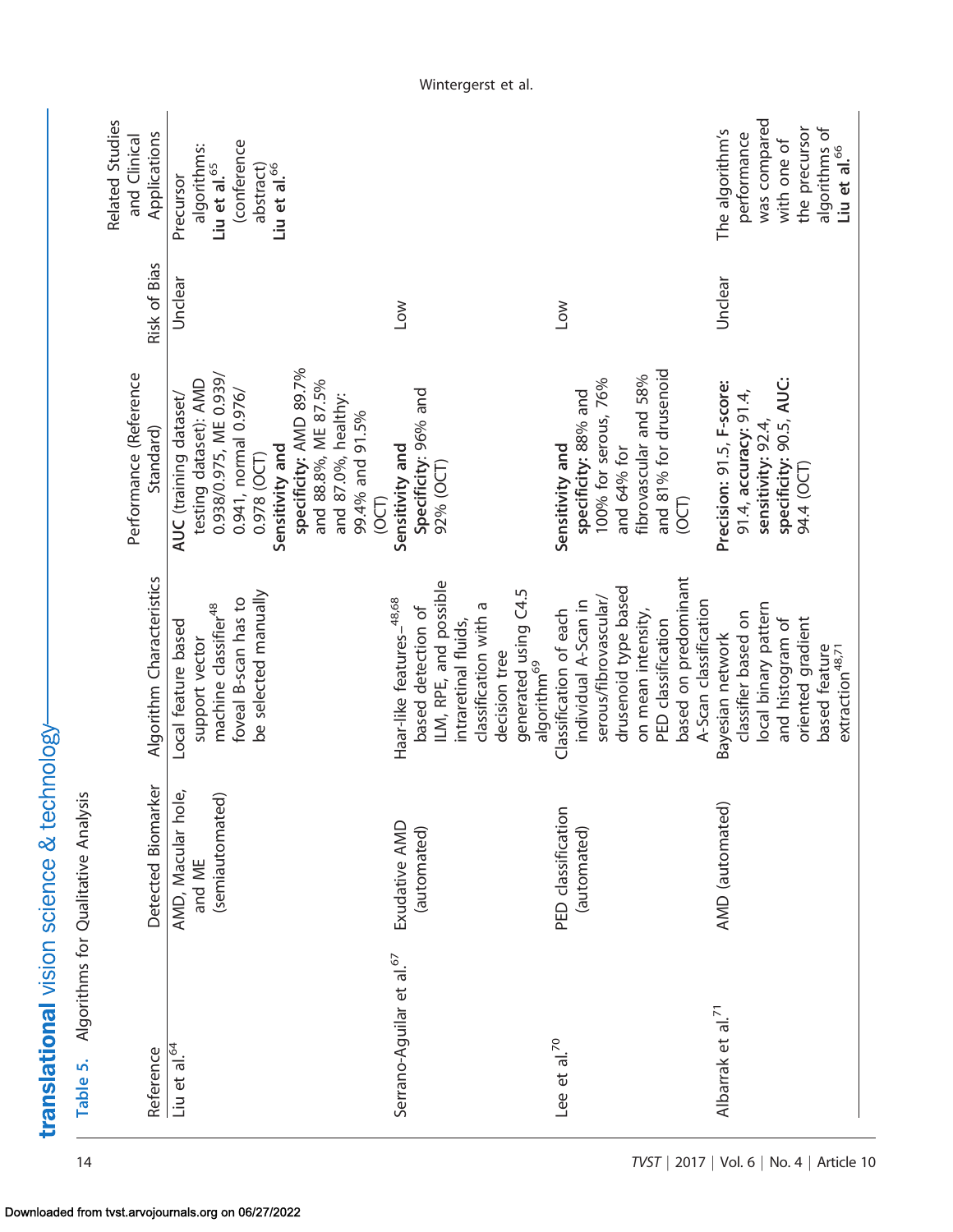<span id="page-13-0"></span>

| Local feature based<br>Detected Biomarker<br>AMD, Macular hole,<br>Algorithms for Qualitative Analysis<br>(semiautomated)                                                                                                         |
|-----------------------------------------------------------------------------------------------------------------------------------------------------------------------------------------------------------------------------------|
| ILM, RPE, and possible<br>generated using C4.5<br>Haar-like features-48,68<br>classification with a<br>based detection of<br>intraretinal fluids,<br>decision tree<br>algorithm <sup>69</sup><br>Exudative AMD<br>(automated)     |
| based on predominant<br>drusenoid type based<br>serous/fibrovascular/<br>individual A-Scan in<br>A-Scan classification<br>Classification of each<br>on mean intensity,<br>PED classification<br>PED classification<br>(automated) |
| local binary pattern<br>classifier based on<br>oriented gradient<br>and histogram of<br>Bayesian network<br>based feature<br>extraction <sup>48,71</sup><br>AMD (automated)                                                       |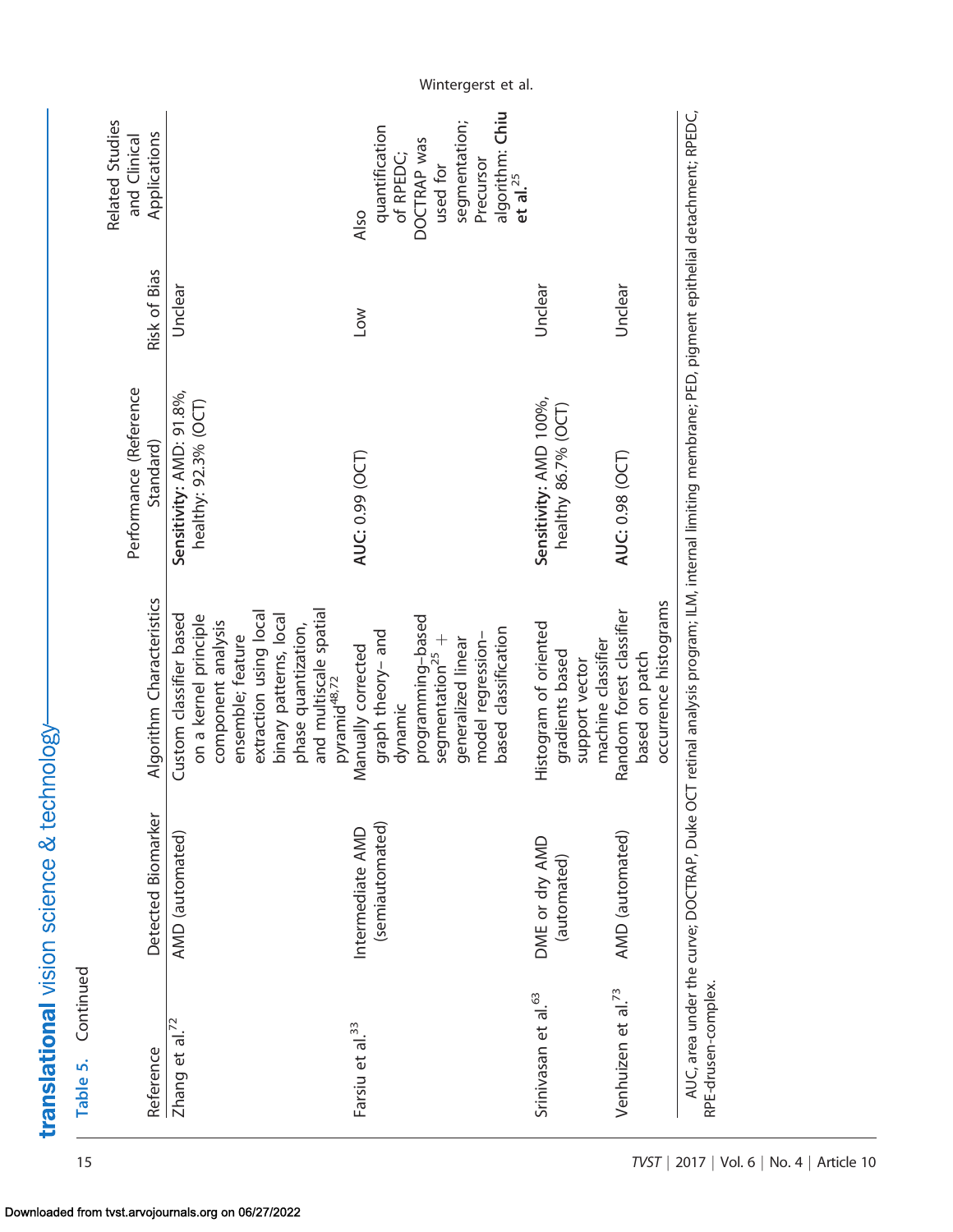| Continued<br>Table 5.           |                                            |                                                                                                                       |                                                  |              |                                                       |
|---------------------------------|--------------------------------------------|-----------------------------------------------------------------------------------------------------------------------|--------------------------------------------------|--------------|-------------------------------------------------------|
| Reference                       | Detected Biomarker                         | Algorithm Characteristics                                                                                             | Performance (Reference<br>Standard)              | Risk of Bias | Related Studies<br>Applications<br>and Clinical       |
| Zhang et al. <sup>72</sup>      | AMD (automated)                            | Custom classifier based<br>extraction using local<br>on a kernel principle<br>component analysis<br>ensemble; feature | Sensitivity: AMD: 91.8%,<br>healthy: 92.3% (OCT) | Unclear      |                                                       |
|                                 |                                            | and multiscale spatial<br>pyramid <sup>48,72</sup><br>binary patterns, local<br>phase quantization,                   |                                                  |              |                                                       |
| Farsiu et al. <sup>33</sup>     | (semiautomated)<br>Intermediate AMD        | graph theory- and<br>Manually corrected<br>dynamic                                                                    | AUC: 0.99 (OCT)                                  | <b>NOT</b>   | quantification<br>of RPEDC;<br>Also                   |
|                                 |                                            | programming-based<br>model regression-<br>segmentation <sup>25</sup> +<br>generalized linear                          |                                                  |              | segmentation;<br>DOCTRAP was<br>Precursor<br>used for |
|                                 |                                            | based classification                                                                                                  |                                                  |              | algorithm: Chiu<br>$et$ al. <sup>25</sup>             |
| Srinivasan et al. <sup>63</sup> | DME or dry AMD<br>(automated)              | Histogram of oriented<br>gradients based<br>support vector                                                            | Sensitivity: AMD 100%,<br>healthy 86.7% (OCT)    | Unclear      |                                                       |
|                                 |                                            | machine classifier                                                                                                    |                                                  |              |                                                       |
| Venhuizen et al. <sup>73</sup>  | AMD (automated)                            | Random forest classifier<br>based on patch                                                                            | AUC: 0.98 (OCT)                                  | Unclear      |                                                       |
|                                 |                                            | occurrence histograms                                                                                                 |                                                  |              |                                                       |
| RPE-drusen-complex.             | AUC, area under the curve; DOCTRAP, Duke O | $\subset$ T retinal analysis program; ILM, internal limiting membrane; PED, pigment epithelial detachment; RPEDC,     |                                                  |              |                                                       |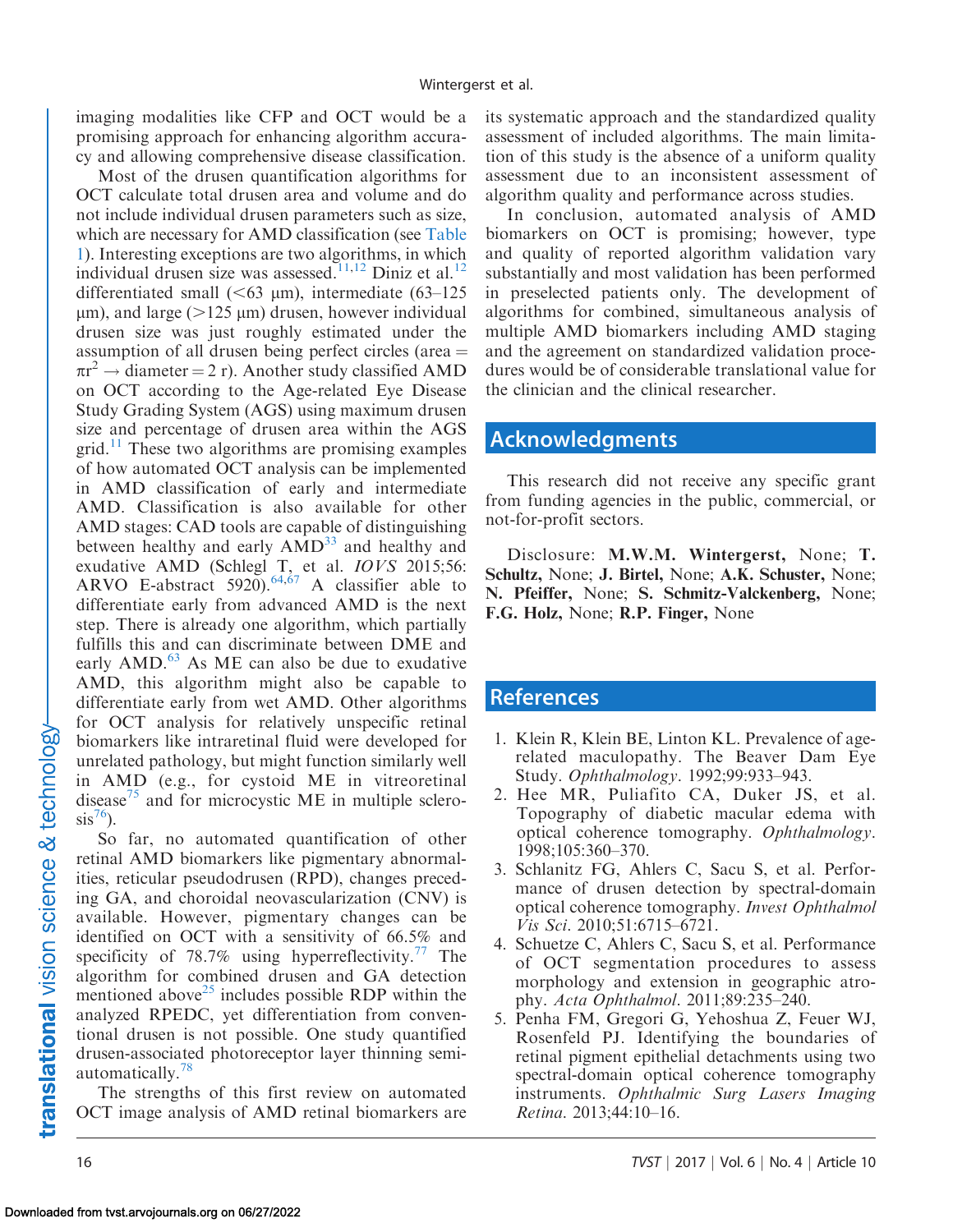<span id="page-15-0"></span>imaging modalities like CFP and OCT would be a promising approach for enhancing algorithm accuracy and allowing comprehensive disease classification.

Most of the drusen quantification algorithms for OCT calculate total drusen area and volume and do not include individual drusen parameters such as size, which are necessary for AMD classification (see [Table](#page-3-0) [1](#page-3-0)). Interesting exceptions are two algorithms, in which individual drusen size was assessed.<sup>[11,12](#page-16-0)</sup> Diniz et al.<sup>[12](#page-16-0)</sup> differentiated small  $(<63 \text{ µm})$ , intermediate  $(63-125)$  $\mu$ m), and large ( $>125 \mu$ m) drusen, however individual drusen size was just roughly estimated under the assumption of all drusen being perfect circles (area  $=$  $\pi r^2 \rightarrow$  diameter = 2 r). Another study classified AMD on OCT according to the Age-related Eye Disease Study Grading System (AGS) using maximum drusen size and percentage of drusen area within the AGS  $grid.$ <sup>[11](#page-16-0)</sup> These two algorithms are promising examples of how automated OCT analysis can be implemented in AMD classification of early and intermediate AMD. Classification is also available for other AMD stages: CAD tools are capable of distinguishing between healthy and early  $\text{AMD}^{33}$  $\text{AMD}^{33}$  $\text{AMD}^{33}$  and healthy and exudative AMD (Schlegl T, et al. IOVS 2015;56: ARVO E-abstract 5920).  $64,67$  A classifier able to differentiate early from advanced AMD is the next step. There is already one algorithm, which partially fulfills this and can discriminate between DME and early AMD.<sup>[63](#page-18-0)</sup> As ME can also be due to exudative AMD, this algorithm might also be capable to differentiate early from wet AMD. Other algorithms for OCT analysis for relatively unspecific retinal biomarkers like intraretinal fluid were developed for unrelated pathology, but might function similarly well in AMD (e.g., for cystoid ME in vitreoretinal disease<sup>[75](#page-18-0)</sup> and for microcystic ME in multiple sclero- $\sin^{76}$ ).

So far, no automated quantification of other retinal AMD biomarkers like pigmentary abnormalities, reticular pseudodrusen (RPD), changes preceding GA, and choroidal neovascularization (CNV) is available. However, pigmentary changes can be identified on OCT with a sensitivity of 66.5% and specificity of 78.7% using hyperreflectivity.<sup>[77](#page-19-0)</sup> The algorithm for combined drusen and GA detection mentioned above<sup>[25](#page-16-0)</sup> includes possible RDP within the analyzed RPEDC, yet differentiation from conventional drusen is not possible. One study quantified drusen-associated photoreceptor layer thinning semi-automatically.<sup>[78](#page-19-0)</sup>

The strengths of this first review on automated OCT image analysis of AMD retinal biomarkers are its systematic approach and the standardized quality assessment of included algorithms. The main limitation of this study is the absence of a uniform quality assessment due to an inconsistent assessment of algorithm quality and performance across studies.

In conclusion, automated analysis of AMD biomarkers on OCT is promising; however, type and quality of reported algorithm validation vary substantially and most validation has been performed in preselected patients only. The development of algorithms for combined, simultaneous analysis of multiple AMD biomarkers including AMD staging and the agreement on standardized validation procedures would be of considerable translational value for the clinician and the clinical researcher.

# Acknowledgments

This research did not receive any specific grant from funding agencies in the public, commercial, or not-for-profit sectors.

Disclosure: M.W.M. Wintergerst, None; T. Schultz, None; J. Birtel, None; A.K. Schuster, None; N. Pfeiffer, None; S. Schmitz-Valckenberg, None; F.G. Holz, None; R.P. Finger, None

### References

- 1. Klein R, Klein BE, Linton KL. Prevalence of agerelated maculopathy. The Beaver Dam Eye Study. Ophthalmology. 1992;99:933–943.
- 2. Hee MR, Puliafito CA, Duker JS, et al. Topography of diabetic macular edema with optical coherence tomography. Ophthalmology. 1998;105:360–370.
- 3. Schlanitz FG, Ahlers C, Sacu S, et al. Performance of drusen detection by spectral-domain optical coherence tomography. Invest Ophthalmol Vis Sci. 2010;51:6715–6721.
- 4. Schuetze C, Ahlers C, Sacu S, et al. Performance of OCT segmentation procedures to assess morphology and extension in geographic atrophy. Acta Ophthalmol. 2011;89:235–240.
- 5. Penha FM, Gregori G, Yehoshua Z, Feuer WJ, Rosenfeld PJ. Identifying the boundaries of retinal pigment epithelial detachments using two spectral-domain optical coherence tomography instruments. Ophthalmic Surg Lasers Imaging Retina. 2013;44:10–16.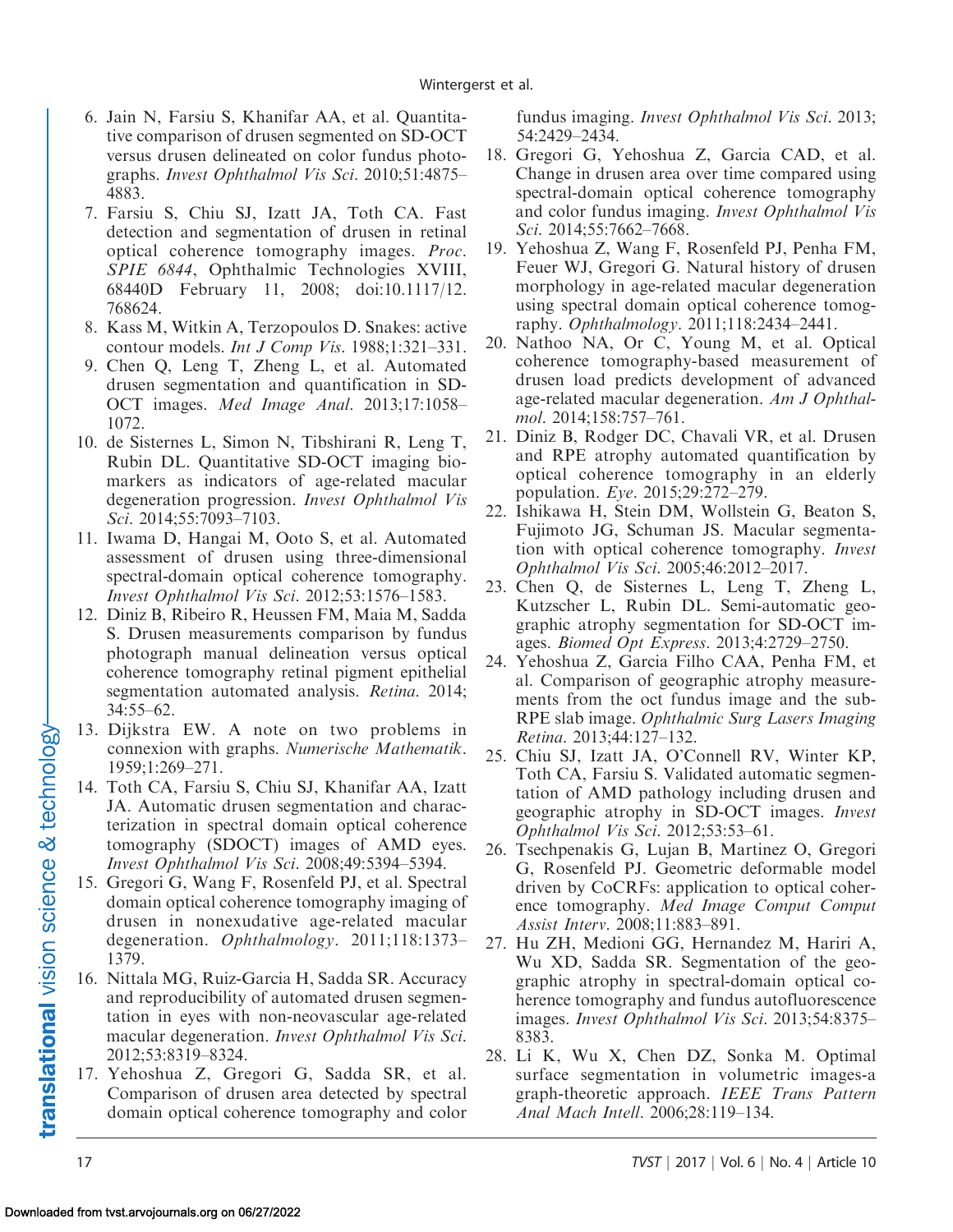- <span id="page-16-0"></span>6. Jain N, Farsiu S, Khanifar AA, et al. Quantitative comparison of drusen segmented on SD-OCT versus drusen delineated on color fundus photographs. Invest Ophthalmol Vis Sci. 2010;51:4875– 4883.
- 7. Farsiu S, Chiu SJ, Izatt JA, Toth CA. Fast detection and segmentation of drusen in retinal optical coherence tomography images. Proc. SPIE 6844, Ophthalmic Technologies XVIII, 68440D February 11, 2008; doi:10.1117/12. 768624.
- 8. Kass M, Witkin A, Terzopoulos D. Snakes: active contour models. Int J Comp Vis. 1988;1:321–331.
- 9. Chen Q, Leng T, Zheng L, et al. Automated drusen segmentation and quantification in SD-OCT images. Med Image Anal. 2013;17:1058– 1072.
- 10. de Sisternes L, Simon N, Tibshirani R, Leng T, Rubin DL. Quantitative SD-OCT imaging biomarkers as indicators of age-related macular degeneration progression. Invest Ophthalmol Vis Sci. 2014;55:7093-7103.
- 11. Iwama D, Hangai M, Ooto S, et al. Automated assessment of drusen using three-dimensional spectral-domain optical coherence tomography. Invest Ophthalmol Vis Sci. 2012;53:1576–1583.
- 12. Diniz B, Ribeiro R, Heussen FM, Maia M, Sadda S. Drusen measurements comparison by fundus photograph manual delineation versus optical coherence tomography retinal pigment epithelial segmentation automated analysis. Retina. 2014; 34:55–62.
- 13. Dijkstra EW. A note on two problems in connexion with graphs. Numerische Mathematik. 1959;1:269–271.
- 14. Toth CA, Farsiu S, Chiu SJ, Khanifar AA, Izatt JA. Automatic drusen segmentation and characterization in spectral domain optical coherence tomography (SDOCT) images of AMD eyes. Invest Ophthalmol Vis Sci. 2008;49:5394–5394.
- 15. Gregori G, Wang F, Rosenfeld PJ, et al. Spectral domain optical coherence tomography imaging of drusen in nonexudative age-related macular degeneration. Ophthalmology. 2011;118:1373– 1379.
- 16. Nittala MG, Ruiz-Garcia H, Sadda SR. Accuracy and reproducibility of automated drusen segmentation in eyes with non-neovascular age-related macular degeneration. Invest Ophthalmol Vis Sci. 2012;53:8319–8324.
- 17. Yehoshua Z, Gregori G, Sadda SR, et al. Comparison of drusen area detected by spectral domain optical coherence tomography and color

fundus imaging. *Invest Ophthalmol Vis Sci.* 2013; 54:2429–2434.

- 18. Gregori G, Yehoshua Z, Garcia CAD, et al. Change in drusen area over time compared using spectral-domain optical coherence tomography and color fundus imaging. Invest Ophthalmol Vis Sci. 2014;55:7662-7668.
- 19. Yehoshua Z, Wang F, Rosenfeld PJ, Penha FM, Feuer WJ, Gregori G. Natural history of drusen morphology in age-related macular degeneration using spectral domain optical coherence tomography. Ophthalmology. 2011;118:2434–2441.
- 20. Nathoo NA, Or C, Young M, et al. Optical coherence tomography-based measurement of drusen load predicts development of advanced age-related macular degeneration. Am J Ophthalmol. 2014;158:757–761.
- 21. Diniz B, Rodger DC, Chavali VR, et al. Drusen and RPE atrophy automated quantification by optical coherence tomography in an elderly population. Eye. 2015;29:272–279.
- 22. Ishikawa H, Stein DM, Wollstein G, Beaton S, Fujimoto JG, Schuman JS. Macular segmentation with optical coherence tomography. Invest Ophthalmol Vis Sci. 2005;46:2012–2017.
- 23. Chen Q, de Sisternes L, Leng T, Zheng L, Kutzscher L, Rubin DL. Semi-automatic geographic atrophy segmentation for SD-OCT images. Biomed Opt Express. 2013;4:2729–2750.
- 24. Yehoshua Z, Garcia Filho CAA, Penha FM, et al. Comparison of geographic atrophy measurements from the oct fundus image and the sub-RPE slab image. Ophthalmic Surg Lasers Imaging Retina. 2013;44:127–132.
- 25. Chiu SJ, Izatt JA, O'Connell RV, Winter KP, Toth CA, Farsiu S. Validated automatic segmentation of AMD pathology including drusen and geographic atrophy in SD-OCT images. Invest Ophthalmol Vis Sci. 2012;53:53–61.
- 26. Tsechpenakis G, Lujan B, Martinez O, Gregori G, Rosenfeld PJ. Geometric deformable model driven by CoCRFs: application to optical coherence tomography. Med Image Comput Comput Assist Interv. 2008;11:883–891.
- 27. Hu ZH, Medioni GG, Hernandez M, Hariri A, Wu XD, Sadda SR. Segmentation of the geographic atrophy in spectral-domain optical coherence tomography and fundus autofluorescence images. Invest Ophthalmol Vis Sci. 2013;54:8375– 8383.
- 28. Li K, Wu X, Chen DZ, Sonka M. Optimal surface segmentation in volumetric images-a graph-theoretic approach. IEEE Trans Pattern Anal Mach Intell. 2006;28:119–134.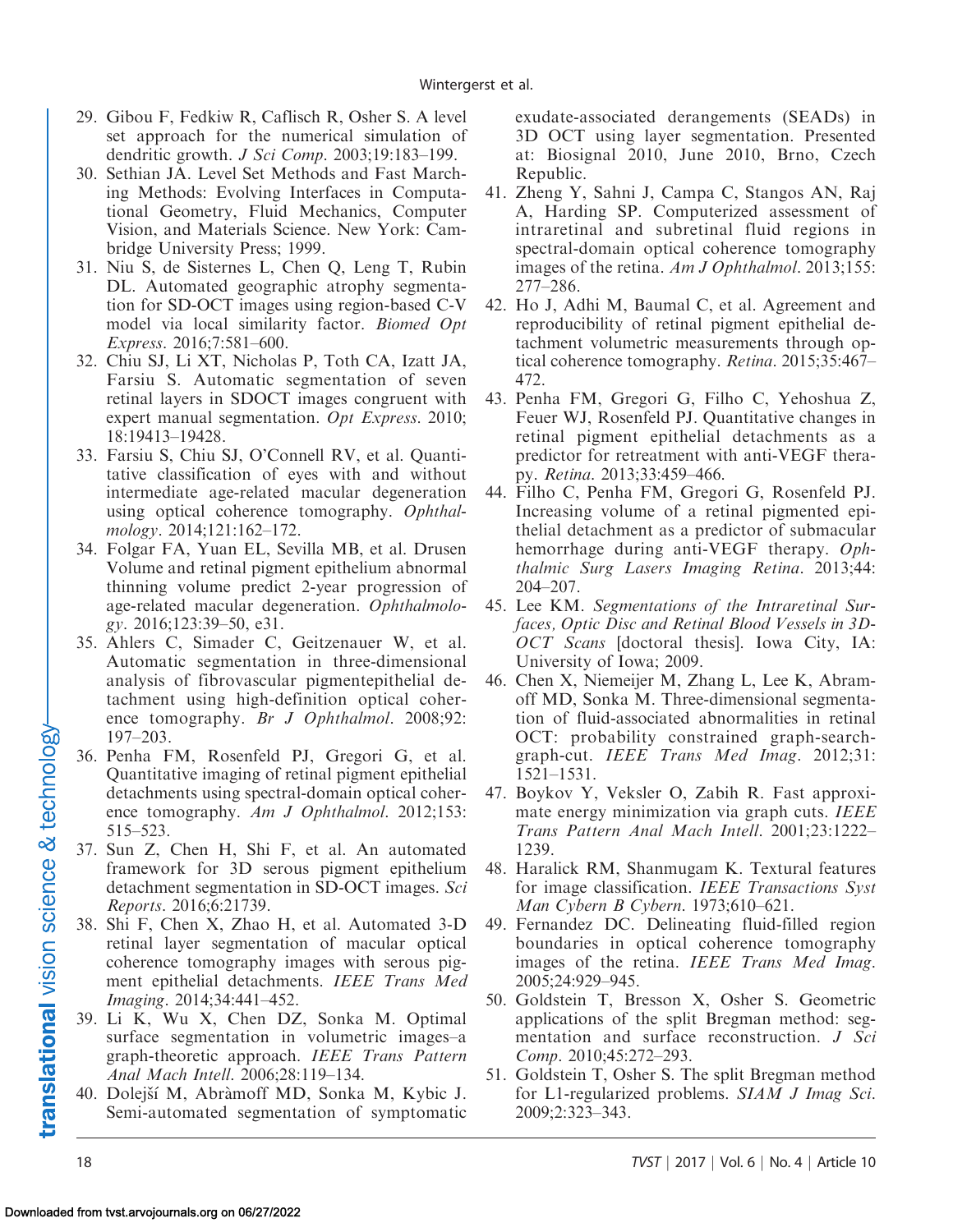- <span id="page-17-0"></span>29. Gibou F, Fedkiw R, Caflisch R, Osher S. A level set approach for the numerical simulation of dendritic growth. J Sci Comp. 2003;19:183–199.
- 30. Sethian JA. Level Set Methods and Fast Marching Methods: Evolving Interfaces in Computational Geometry, Fluid Mechanics, Computer Vision, and Materials Science. New York: Cambridge University Press; 1999.
- 31. Niu S, de Sisternes L, Chen Q, Leng T, Rubin DL. Automated geographic atrophy segmentation for SD-OCT images using region-based C-V model via local similarity factor. Biomed Opt Express. 2016;7:581–600.
- 32. Chiu SJ, Li XT, Nicholas P, Toth CA, Izatt JA, Farsiu S. Automatic segmentation of seven retinal layers in SDOCT images congruent with expert manual segmentation. Opt Express. 2010; 18:19413–19428.
- 33. Farsiu S, Chiu SJ, O'Connell RV, et al. Quantitative classification of eyes with and without intermediate age-related macular degeneration using optical coherence tomography. Ophthalmology. 2014;121:162–172.
- 34. Folgar FA, Yuan EL, Sevilla MB, et al. Drusen Volume and retinal pigment epithelium abnormal thinning volume predict 2-year progression of age-related macular degeneration. Ophthalmology. 2016;123:39–50, e31.
- 35. Ahlers C, Simader C, Geitzenauer W, et al. Automatic segmentation in three-dimensional analysis of fibrovascular pigmentepithelial detachment using high-definition optical coherence tomography. Br J Ophthalmol. 2008;92: 197–203.
- 36. Penha FM, Rosenfeld PJ, Gregori G, et al. Quantitative imaging of retinal pigment epithelial detachments using spectral-domain optical coherence tomography. Am J Ophthalmol. 2012;153: 515–523.
- 37. Sun Z, Chen H, Shi F, et al. An automated framework for 3D serous pigment epithelium detachment segmentation in SD-OCT images. Sci Reports. 2016;6:21739.
- 38. Shi F, Chen X, Zhao H, et al. Automated 3-D retinal layer segmentation of macular optical coherence tomography images with serous pigment epithelial detachments. IEEE Trans Med Imaging. 2014;34:441–452.
- 39. Li K, Wu X, Chen DZ, Sonka M. Optimal surface segmentation in volumetric images–a graph-theoretic approach. IEEE Trans Pattern Anal Mach Intell. 2006;28:119–134.
- 40. Dolejší M, Abràmoff MD, Sonka M, Kybic J. Semi-automated segmentation of symptomatic

exudate-associated derangements (SEADs) in 3D OCT using layer segmentation. Presented at: Biosignal 2010, June 2010, Brno, Czech Republic.

- 41. Zheng Y, Sahni J, Campa C, Stangos AN, Raj A, Harding SP. Computerized assessment of intraretinal and subretinal fluid regions in spectral-domain optical coherence tomography images of the retina. Am J Ophthalmol. 2013;155: 277–286.
- 42. Ho J, Adhi M, Baumal C, et al. Agreement and reproducibility of retinal pigment epithelial detachment volumetric measurements through optical coherence tomography. Retina. 2015;35:467– 472.
- 43. Penha FM, Gregori G, Filho C, Yehoshua Z, Feuer WJ, Rosenfeld PJ. Quantitative changes in retinal pigment epithelial detachments as a predictor for retreatment with anti-VEGF therapy. Retina. 2013;33:459–466.
- 44. Filho C, Penha FM, Gregori G, Rosenfeld PJ. Increasing volume of a retinal pigmented epithelial detachment as a predictor of submacular hemorrhage during anti-VEGF therapy. Ophthalmic Surg Lasers Imaging Retina. 2013;44: 204–207.
- 45. Lee KM. Segmentations of the Intraretinal Surfaces, Optic Disc and Retinal Blood Vessels in 3D-OCT Scans [doctoral thesis]. Iowa City, IA: University of Iowa; 2009.
- 46. Chen X, Niemeijer M, Zhang L, Lee K, Abramoff MD, Sonka M. Three-dimensional segmentation of fluid-associated abnormalities in retinal OCT: probability constrained graph-searchgraph-cut. IEEE Trans Med Imag. 2012;31: 1521–1531.
- 47. Boykov Y, Veksler O, Zabih R. Fast approximate energy minimization via graph cuts. IEEE Trans Pattern Anal Mach Intell. 2001;23:1222– 1239.
- 48. Haralick RM, Shanmugam K. Textural features for image classification. IEEE Transactions Syst Man Cybern B Cybern. 1973;610–621.
- 49. Fernandez DC. Delineating fluid-filled region boundaries in optical coherence tomography images of the retina. IEEE Trans Med Imag. 2005;24:929–945.
- 50. Goldstein T, Bresson X, Osher S. Geometric applications of the split Bregman method: segmentation and surface reconstruction. *J Sci* Comp. 2010;45:272–293.
- 51. Goldstein T, Osher S. The split Bregman method for L1-regularized problems. SIAM J Imag Sci. 2009;2:323–343.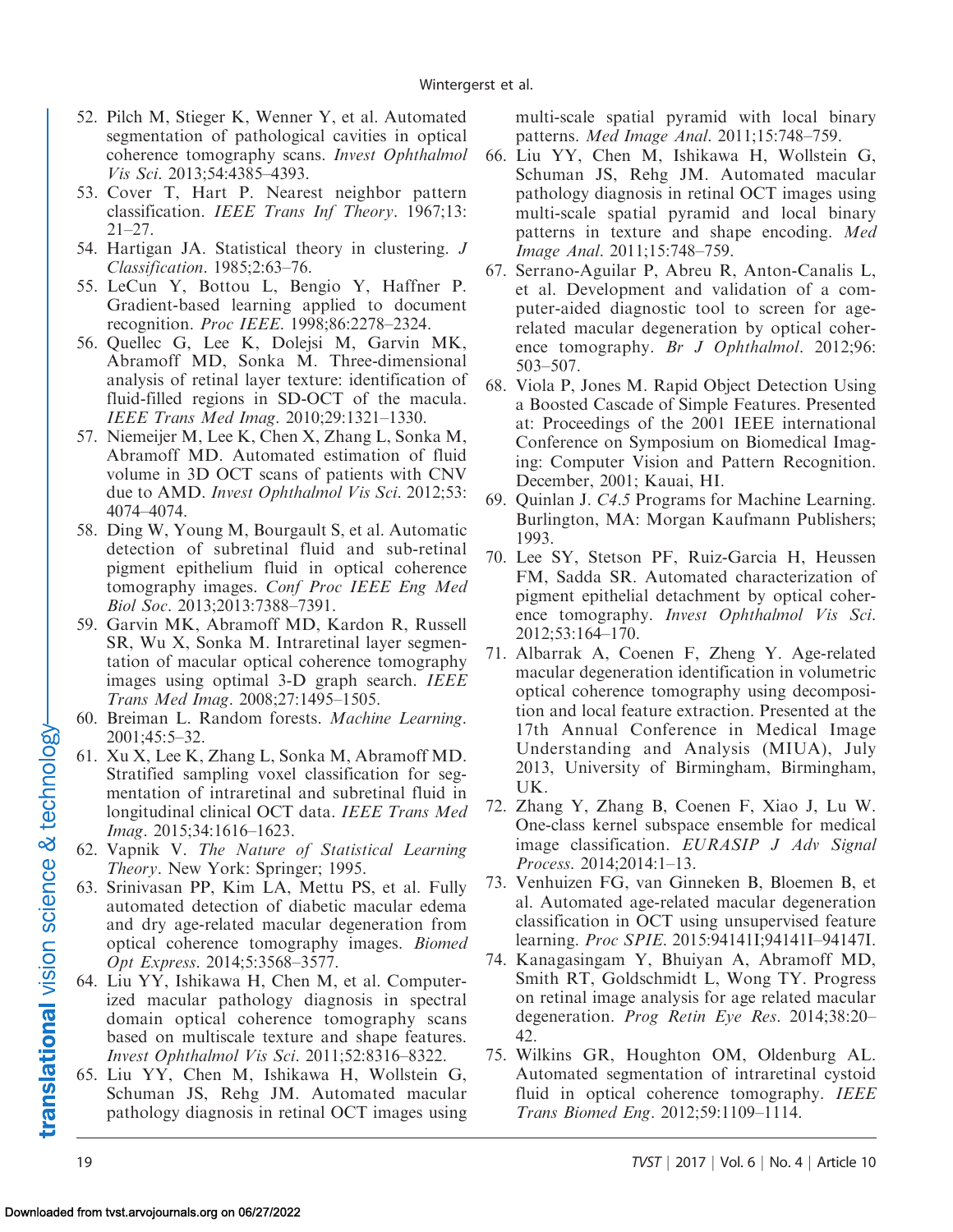- <span id="page-18-0"></span>52. Pilch M, Stieger K, Wenner Y, et al. Automated segmentation of pathological cavities in optical coherence tomography scans. Invest Ophthalmol Vis Sci. 2013;54:4385–4393.
- 53. Cover T, Hart P. Nearest neighbor pattern classification. IEEE Trans Inf Theory. 1967;13: 21–27.
- 54. Hartigan JA. Statistical theory in clustering. J Classification. 1985;2:63–76.
- 55. LeCun Y, Bottou L, Bengio Y, Haffner P. Gradient-based learning applied to document recognition. Proc IEEE. 1998;86:2278–2324.
- 56. Quellec G, Lee K, Dolejsi M, Garvin MK, Abramoff MD, Sonka M. Three-dimensional analysis of retinal layer texture: identification of fluid-filled regions in SD-OCT of the macula. IEEE Trans Med Imag. 2010;29:1321–1330.
- 57. Niemeijer M, Lee K, Chen X, Zhang L, Sonka M, Abramoff MD. Automated estimation of fluid volume in 3D OCT scans of patients with CNV due to AMD. Invest Ophthalmol Vis Sci. 2012;53: 4074–4074.
- 58. Ding W, Young M, Bourgault S, et al. Automatic detection of subretinal fluid and sub-retinal pigment epithelium fluid in optical coherence tomography images. Conf Proc IEEE Eng Med Biol Soc. 2013;2013:7388–7391.
- 59. Garvin MK, Abramoff MD, Kardon R, Russell SR, Wu X, Sonka M. Intraretinal layer segmentation of macular optical coherence tomography images using optimal 3-D graph search. *IEEE* Trans Med Imag. 2008;27:1495–1505.
- 60. Breiman L. Random forests. Machine Learning. 2001;45:5–32.
- 61. Xu X, Lee K, Zhang L, Sonka M, Abramoff MD. Stratified sampling voxel classification for segmentation of intraretinal and subretinal fluid in longitudinal clinical OCT data. IEEE Trans Med Imag. 2015;34:1616–1623.
- 62. Vapnik V. The Nature of Statistical Learning Theory. New York: Springer; 1995.
- 63. Srinivasan PP, Kim LA, Mettu PS, et al. Fully automated detection of diabetic macular edema and dry age-related macular degeneration from optical coherence tomography images. Biomed Opt Express. 2014;5:3568–3577.
- 64. Liu YY, Ishikawa H, Chen M, et al. Computerized macular pathology diagnosis in spectral domain optical coherence tomography scans based on multiscale texture and shape features. Invest Ophthalmol Vis Sci. 2011;52:8316–8322.
- 65. Liu YY, Chen M, Ishikawa H, Wollstein G, Schuman JS, Rehg JM. Automated macular pathology diagnosis in retinal OCT images using

multi-scale spatial pyramid with local binary patterns. Med Image Anal. 2011;15:748–759.

- 66. Liu YY, Chen M, Ishikawa H, Wollstein G, Schuman JS, Rehg JM. Automated macular pathology diagnosis in retinal OCT images using multi-scale spatial pyramid and local binary patterns in texture and shape encoding. Med Image Anal. 2011;15:748–759.
- 67. Serrano-Aguilar P, Abreu R, Anton-Canalis L, et al. Development and validation of a computer-aided diagnostic tool to screen for agerelated macular degeneration by optical coherence tomography. Br J Ophthalmol. 2012;96: 503–507.
- 68. Viola P, Jones M. Rapid Object Detection Using a Boosted Cascade of Simple Features. Presented at: Proceedings of the 2001 IEEE international Conference on Symposium on Biomedical Imaging: Computer Vision and Pattern Recognition. December, 2001; Kauai, HI.
- 69. Quinlan J. C4.5 Programs for Machine Learning. Burlington, MA: Morgan Kaufmann Publishers; 1993.
- 70. Lee SY, Stetson PF, Ruiz-Garcia H, Heussen FM, Sadda SR. Automated characterization of pigment epithelial detachment by optical coherence tomography. Invest Ophthalmol Vis Sci. 2012;53:164–170.
- 71. Albarrak A, Coenen F, Zheng Y. Age-related macular degeneration identification in volumetric optical coherence tomography using decomposition and local feature extraction. Presented at the 17th Annual Conference in Medical Image Understanding and Analysis (MIUA), July 2013, University of Birmingham, Birmingham, UK.
- 72. Zhang Y, Zhang B, Coenen F, Xiao J, Lu W. One-class kernel subspace ensemble for medical image classification. EURASIP J Adv Signal Process. 2014;2014:1–13.
- 73. Venhuizen FG, van Ginneken B, Bloemen B, et al. Automated age-related macular degeneration classification in OCT using unsupervised feature learning. Proc SPIE. 2015:94141I;94141I–94147I.
- 74. Kanagasingam Y, Bhuiyan A, Abramoff MD, Smith RT, Goldschmidt L, Wong TY. Progress on retinal image analysis for age related macular degeneration. Prog Retin Eye Res. 2014;38:20– 42.
- 75. Wilkins GR, Houghton OM, Oldenburg AL. Automated segmentation of intraretinal cystoid fluid in optical coherence tomography. IEEE Trans Biomed Eng. 2012;59:1109–1114.